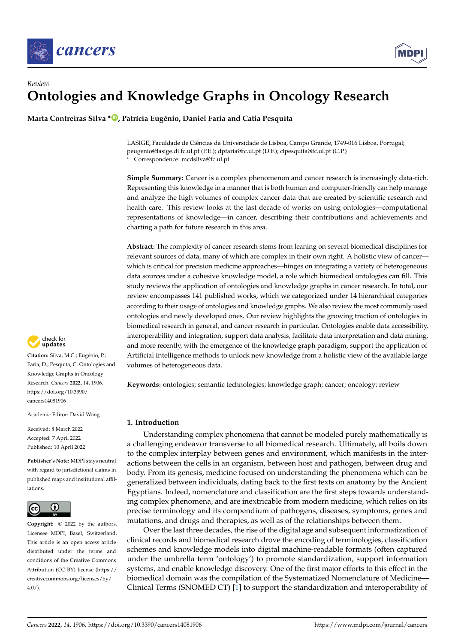

# *Review* **Ontologies and Knowledge Graphs in Oncology Research**

**Marta Contreiras Silva \* [,](https://orcid.org/0000-0003-1864-0105) Patrícia Eugénio, Daniel Faria and Catia Pesquita**

LASIGE, Faculdade de Ciências da Universidade de Lisboa, Campo Grande, 1749-016 Lisboa, Portugal; peugenio@lasige.di.fc.ul.pt (P.E.); dpfaria@fc.ul.pt (D.F.); clpesquita@fc.ul.pt (C.P.) **\*** Correspondence: mcdsilva@fc.ul.pt

**Simple Summary:** Cancer is a complex phenomenon and cancer research is increasingly data-rich. Representing this knowledge in a manner that is both human and computer-friendly can help manage and analyze the high volumes of complex cancer data that are created by scientific research and health care. This review looks at the last decade of works on using ontologies—computational representations of knowledge—in cancer, describing their contributions and achievements and charting a path for future research in this area.

**Abstract:** The complexity of cancer research stems from leaning on several biomedical disciplines for relevant sources of data, many of which are complex in their own right. A holistic view of cancer which is critical for precision medicine approaches—hinges on integrating a variety of heterogeneous data sources under a cohesive knowledge model, a role which biomedical ontologies can fill. This study reviews the application of ontologies and knowledge graphs in cancer research. In total, our review encompasses 141 published works, which we categorized under 14 hierarchical categories according to their usage of ontologies and knowledge graphs. We also review the most commonly used ontologies and newly developed ones. Our review highlights the growing traction of ontologies in biomedical research in general, and cancer research in particular. Ontologies enable data accessibility, interoperability and integration, support data analysis, facilitate data interpretation and data mining, and more recently, with the emergence of the knowledge graph paradigm, support the application of Artificial Intelligence methods to unlock new knowledge from a holistic view of the available large volumes of heterogeneous data.

**Keywords:** ontologies; semantic technologies; knowledge graph; cancer; oncology; review

# **1. Introduction**

Understanding complex phenomena that cannot be modeled purely mathematically is a challenging endeavor transverse to all biomedical research. Ultimately, all boils down to the complex interplay between genes and environment, which manifests in the interactions between the cells in an organism, between host and pathogen, between drug and body. From its genesis, medicine focused on understanding the phenomena which can be generalized between individuals, dating back to the first texts on anatomy by the Ancient Egyptians. Indeed, nomenclature and classification are the first steps towards understanding complex phenomena, and are inextricable from modern medicine, which relies on its precise terminology and its compendium of pathogens, diseases, symptoms, genes and mutations, and drugs and therapies, as well as of the relationships between them.

Over the last three decades, the rise of the digital age and subsequent informatization of clinical records and biomedical research drove the encoding of terminologies, classification schemes and knowledge models into digital machine-readable formats (often captured under the umbrella term 'ontology') to promote standardization, support information systems, and enable knowledge discovery. One of the first major efforts to this effect in the biomedical domain was the compilation of the Systematized Nomenclature of Medicine— Clinical Terms (SNOMED CT) [\[1\]](#page-20-0) to support the standardization and interoperability of



**Citation:** Silva, M.C.; Eugénio, P.; Faria, D.; Pesquita, C. Ontologies and Knowledge Graphs in Oncology Research. *Cancers* **2022**, *14*, 1906. [https://doi.org/10.3390/](https://doi.org/10.3390/cancers14081906) [cancers14081906](https://doi.org/10.3390/cancers14081906)

Academic Editor: David Wong

Received: 8 March 2022 Accepted: 7 April 2022 Published: 10 April 2022

**Publisher's Note:** MDPI stays neutral with regard to jurisdictional claims in published maps and institutional affiliations.



**Copyright:** © 2022 by the authors. Licensee MDPI, Basel, Switzerland. This article is an open access article distributed under the terms and conditions of the Creative Commons Attribution (CC BY) license [\(https://](https://creativecommons.org/licenses/by/4.0/) [creativecommons.org/licenses/by/](https://creativecommons.org/licenses/by/4.0/)  $4.0/$ ).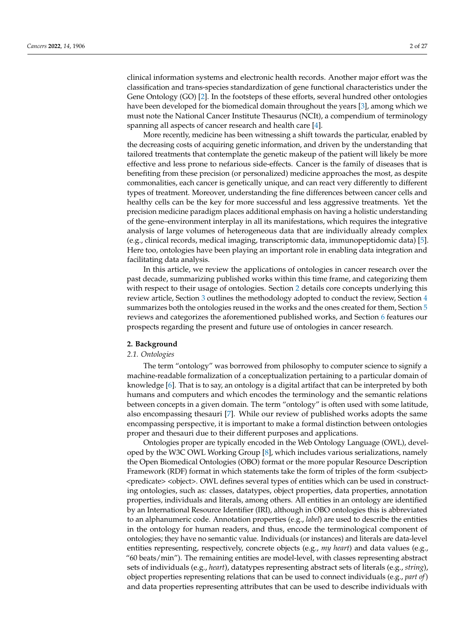clinical information systems and electronic health records. Another major effort was the classification and trans-species standardization of gene functional characteristics under the Gene Ontology (GO) [\[2\]](#page-20-1). In the footsteps of these efforts, several hundred other ontologies have been developed for the biomedical domain throughout the years [\[3\]](#page-20-2), among which we must note the National Cancer Institute Thesaurus (NCIt), a compendium of terminology spanning all aspects of cancer research and health care [\[4\]](#page-20-3).

More recently, medicine has been witnessing a shift towards the particular, enabled by the decreasing costs of acquiring genetic information, and driven by the understanding that tailored treatments that contemplate the genetic makeup of the patient will likely be more effective and less prone to nefarious side-effects. Cancer is the family of diseases that is benefiting from these precision (or personalized) medicine approaches the most, as despite commonalities, each cancer is genetically unique, and can react very differently to different types of treatment. Moreover, understanding the fine differences between cancer cells and healthy cells can be the key for more successful and less aggressive treatments. Yet the precision medicine paradigm places additional emphasis on having a holistic understanding of the gene–environment interplay in all its manifestations, which requires the integrative analysis of large volumes of heterogeneous data that are individually already complex (e.g., clinical records, medical imaging, transcriptomic data, immunopeptidomic data) [\[5\]](#page-20-4). Here too, ontologies have been playing an important role in enabling data integration and facilitating data analysis.

In this article, we review the applications of ontologies in cancer research over the past decade, summarizing published works within this time frame, and categorizing them with respect to their usage of ontologies. Section [2](#page-1-0) details core concepts underlying this review article, Section [3](#page-3-0) outlines the methodology adopted to conduct the review, Section [4](#page-6-0) summarizes both the ontologies reused in the works and the ones created for them, Section [5](#page-10-0) reviews and categorizes the aforementioned published works, and Section [6](#page-16-0) features our prospects regarding the present and future use of ontologies in cancer research.

#### <span id="page-1-0"></span>**2. Background**

#### *2.1. Ontologies*

The term "ontology" was borrowed from philosophy to computer science to signify a machine-readable formalization of a conceptualization pertaining to a particular domain of knowledge [\[6\]](#page-20-5). That is to say, an ontology is a digital artifact that can be interpreted by both humans and computers and which encodes the terminology and the semantic relations between concepts in a given domain. The term "ontology" is often used with some latitude, also encompassing thesauri [\[7\]](#page-20-6). While our review of published works adopts the same encompassing perspective, it is important to make a formal distinction between ontologies proper and thesauri due to their different purposes and applications.

Ontologies proper are typically encoded in the Web Ontology Language (OWL), developed by the W3C OWL Working Group [\[8\]](#page-20-7), which includes various serializations, namely the Open Biomedical Ontologies (OBO) format or the more popular Resource Description Framework (RDF) format in which statements take the form of triples of the form <subject> <predicate> <object>. OWL defines several types of entities which can be used in constructing ontologies, such as: classes, datatypes, object properties, data properties, annotation properties, individuals and literals, among others. All entities in an ontology are identified by an International Resource Identifier (IRI), although in OBO ontologies this is abbreviated to an alphanumeric code. Annotation properties (e.g., *label*) are used to describe the entities in the ontology for human readers, and thus, encode the terminological component of ontologies; they have no semantic value. Individuals (or instances) and literals are data-level entities representing, respectively, concrete objects (e.g., *my heart*) and data values (e.g., "60 beats/min"). The remaining entities are model-level, with classes representing abstract sets of individuals (e.g., *heart*), datatypes representing abstract sets of literals (e.g., *string*), object properties representing relations that can be used to connect individuals (e.g., *part of*) and data properties representing attributes that can be used to describe individuals with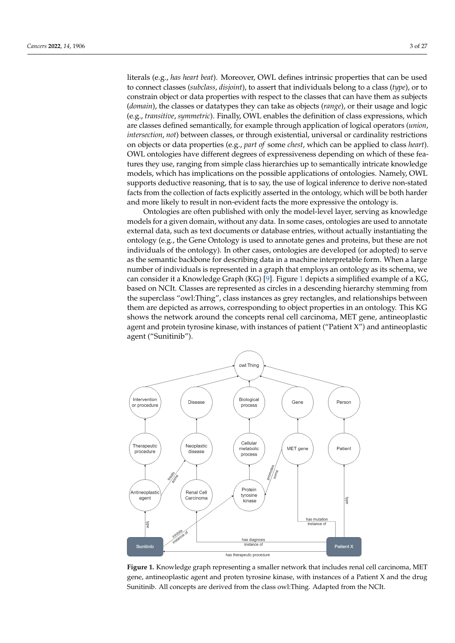literals (e.g., *has heart beat*). Moreover, OWL defines intrinsic properties that can be used to connect classes (*subclass*, *disjoint*), to assert that individuals belong to a class (*type*), or to constrain object or data properties with respect to the classes that can have them as subjects (*domain*), the classes or datatypes they can take as objects (*range*), or their usage and logic (e.g., *transitive*, *symmetric*). Finally, OWL enables the definition of class expressions, which are classes defined semantically, for example through application of logical operators (*union*, *intersection*, *not*) between classes, or through existential, universal or cardinality restrictions on objects or data properties (e.g., *part of* some *chest*, which can be applied to class *heart*). OWL ontologies have different degrees of expressiveness depending on which of these features they use, ranging from simple class hierarchies up to semantically intricate knowledge models, which has implications on the possible applications of ontologies. Namely, OWL supports deductive reasoning, that is to say, the use of logical inference to derive non-stated facts from the collection of facts explicitly asserted in the ontology, which will be both harder and more likely to result in non-evident facts the more expressive the ontology is.

Ontologies are often published with only the model-level layer, serving as knowledge models for a given domain, without any data. In some cases, ontologies are used to annotate external data, such as text documents or database entries, without actually instantiating the ontology (e.g., the Gene Ontology is used to annotate genes and proteins, but these are not individuals of the ontology). In other cases, ontologies are developed (or adopted) to serve as the semantic backbone for describing data in a machine interpretable form. When a large number of individuals is represented in a graph that employs an ontology as its schema, we can consider it a Knowledge Graph (KG) [\[9\]](#page-20-8). Figure [1](#page-2-0) depicts a simplified example of a KG, based on NCIt. Classes are represented as circles in a descending hierarchy stemming from the superclass "owl:Thing", class instances as grey rectangles, and relationships between them are depicted as arrows, corresponding to object properties in an ontology. This KG shows the network around the concepts renal cell carcinoma, MET gene, antineoplastic agent and protein tyrosine kinase, with instances of patient ("Patient X") and antineoplastic agent ("Sunitinib").

<span id="page-2-0"></span>

**Figure 1.** Knowledge graph representing a smaller network that includes renal cell carcinoma, MET gene, antineoplastic agent and proten tyrosine kinase, with instances of a Patient X and the drug Sunitinib. All concepts are derived from the class owl:Thing. Adapted from the NCIt.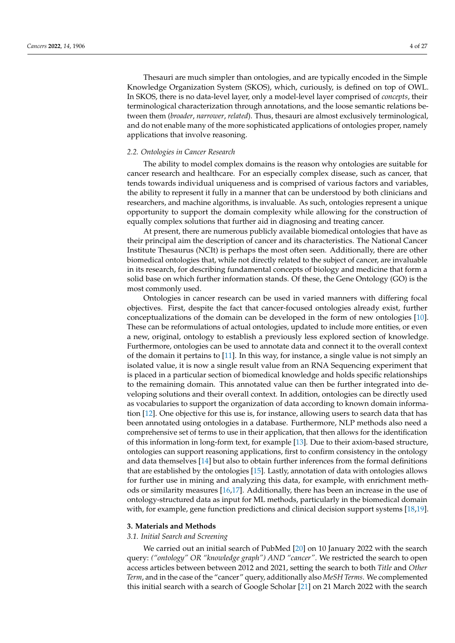Thesauri are much simpler than ontologies, and are typically encoded in the Simple Knowledge Organization System (SKOS), which, curiously, is defined on top of OWL. In SKOS, there is no data-level layer, only a model-level layer comprised of *concepts*, their terminological characterization through annotations, and the loose semantic relations between them (*broader*, *narrower*, *related*). Thus, thesauri are almost exclusively terminological, and do not enable many of the more sophisticated applications of ontologies proper, namely applications that involve reasoning.

#### *2.2. Ontologies in Cancer Research*

The ability to model complex domains is the reason why ontologies are suitable for cancer research and healthcare. For an especially complex disease, such as cancer, that tends towards individual uniqueness and is comprised of various factors and variables, the ability to represent it fully in a manner that can be understood by both clinicians and researchers, and machine algorithms, is invaluable. As such, ontologies represent a unique opportunity to support the domain complexity while allowing for the construction of equally complex solutions that further aid in diagnosing and treating cancer.

At present, there are numerous publicly available biomedical ontologies that have as their principal aim the description of cancer and its characteristics. The National Cancer Institute Thesaurus (NCIt) is perhaps the most often seen. Additionally, there are other biomedical ontologies that, while not directly related to the subject of cancer, are invaluable in its research, for describing fundamental concepts of biology and medicine that form a solid base on which further information stands. Of these, the Gene Ontology (GO) is the most commonly used.

Ontologies in cancer research can be used in varied manners with differing focal objectives. First, despite the fact that cancer-focused ontologies already exist, further conceptualizations of the domain can be developed in the form of new ontologies [\[10\]](#page-20-9). These can be reformulations of actual ontologies, updated to include more entities, or even a new, original, ontology to establish a previously less explored section of knowledge. Furthermore, ontologies can be used to annotate data and connect it to the overall context of the domain it pertains to [\[11\]](#page-20-10). In this way, for instance, a single value is not simply an isolated value, it is now a single result value from an RNA Sequencing experiment that is placed in a particular section of biomedical knowledge and holds specific relationships to the remaining domain. This annotated value can then be further integrated into developing solutions and their overall context. In addition, ontologies can be directly used as vocabularies to support the organization of data according to known domain information [\[12\]](#page-20-11). One objective for this use is, for instance, allowing users to search data that has been annotated using ontologies in a database. Furthermore, NLP methods also need a comprehensive set of terms to use in their application, that then allows for the identification of this information in long-form text, for example [\[13\]](#page-20-12). Due to their axiom-based structure, ontologies can support reasoning applications, first to confirm consistency in the ontology and data themselves [\[14\]](#page-20-13) but also to obtain further inferences from the formal definitions that are established by the ontologies [\[15\]](#page-20-14). Lastly, annotation of data with ontologies allows for further use in mining and analyzing this data, for example, with enrichment methods or similarity measures [\[16](#page-20-15)[,17\]](#page-21-0). Additionally, there has been an increase in the use of ontology-structured data as input for ML methods, particularly in the biomedical domain with, for example, gene function predictions and clinical decision support systems [\[18,](#page-21-1)[19\]](#page-21-2).

#### <span id="page-3-0"></span>**3. Materials and Methods**

#### *3.1. Initial Search and Screening*

We carried out an initial search of PubMed [\[20\]](#page-21-3) on 10 January 2022 with the search query: *("ontology" OR "knowledge graph") AND "cancer"*. We restricted the search to open access articles between between 2012 and 2021, setting the search to both *Title* and *Other Term*, and in the case of the "cancer" query, additionally also *MeSH Terms*. We complemented this initial search with a search of Google Scholar [\[21\]](#page-21-4) on 21 March 2022 with the search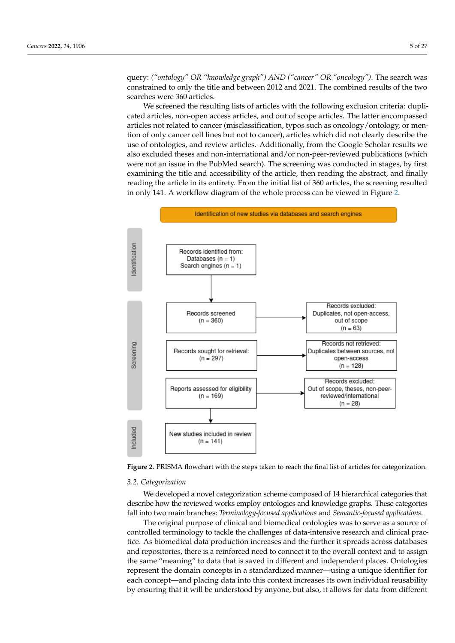query: *("ontology" OR "knowledge graph") AND ("cancer" OR "oncology")*. The search was constrained to only the title and between 2012 and 2021. The combined results of the two searches were 360 articles.

We screened the resulting lists of articles with the following exclusion criteria: duplicated articles, non-open access articles, and out of scope articles. The latter encompassed articles not related to cancer (misclassification, typos such as oncology/ontology, or mention of only cancer cell lines but not to cancer), articles which did not clearly describe the use of ontologies, and review articles. Additionally, from the Google Scholar results we also excluded theses and non-international and/or non-peer-reviewed publications (which were not an issue in the PubMed search). The screening was conducted in stages, by first examining the title and accessibility of the article, then reading the abstract, and finally reading the article in its entirety. From the initial list of 360 articles, the screening resulted in only 141. A workflow diagram of the whole process can be viewed in Figure [2.](#page-4-0)

<span id="page-4-0"></span>

**Figure 2.** PRISMA flowchart with the steps taken to reach the final list of articles for categorization.

#### *3.2. Categorization*

We developed a novel categorization scheme composed of 14 hierarchical categories that describe how the reviewed works employ ontologies and knowledge graphs. These categories fall into two main branches: *Terminology-focused applications* and *Semantic-focused applications*.

The original purpose of clinical and biomedical ontologies was to serve as a source of controlled terminology to tackle the challenges of data-intensive research and clinical practice. As biomedical data production increases and the further it spreads across databases and repositories, there is a reinforced need to connect it to the overall context and to assign the same "meaning" to data that is saved in different and independent places. Ontologies represent the domain concepts in a standardized manner—using a unique identifier for each concept—and placing data into this context increases its own individual reusability by ensuring that it will be understood by anyone, but also, it allows for data from different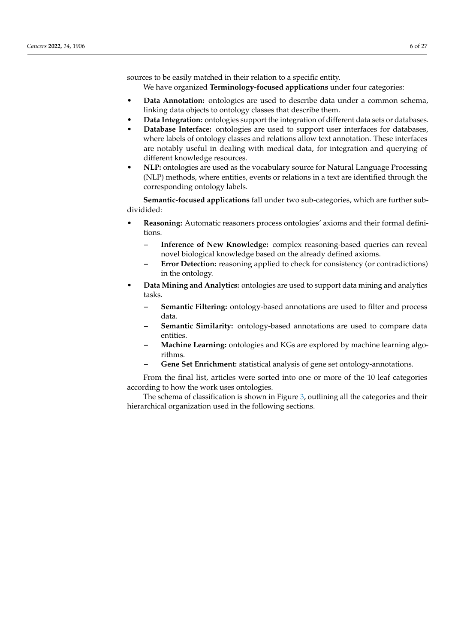sources to be easily matched in their relation to a specific entity.

We have organized **Terminology-focused applications** under four categories:

- **Data Annotation:** ontologies are used to describe data under a common schema, linking data objects to ontology classes that describe them.
- **Data Integration:** ontologies support the integration of different data sets or databases.
- **Database Interface:** ontologies are used to support user interfaces for databases, where labels of ontology classes and relations allow text annotation. These interfaces are notably useful in dealing with medical data, for integration and querying of different knowledge resources.
- **NLP:** ontologies are used as the vocabulary source for Natural Language Processing (NLP) methods, where entities, events or relations in a text are identified through the corresponding ontology labels.

**Semantic-focused applications** fall under two sub-categories, which are further subdividided:

- **Reasoning:** Automatic reasoners process ontologies' axioms and their formal definitions.
	- **– Inference of New Knowledge:** complex reasoning-based queries can reveal novel biological knowledge based on the already defined axioms.
	- **– Error Detection:** reasoning applied to check for consistency (or contradictions) in the ontology.
- **Data Mining and Analytics:** ontologies are used to support data mining and analytics tasks.
	- **– Semantic Filtering:** ontology-based annotations are used to filter and process data.
	- **– Semantic Similarity:** ontology-based annotations are used to compare data entities.
	- **– Machine Learning:** ontologies and KGs are explored by machine learning algorithms.
	- **– Gene Set Enrichment:** statistical analysis of gene set ontology-annotations.

From the final list, articles were sorted into one or more of the 10 leaf categories according to how the work uses ontologies.

The schema of classification is shown in Figure [3,](#page-6-1) outlining all the categories and their hierarchical organization used in the following sections.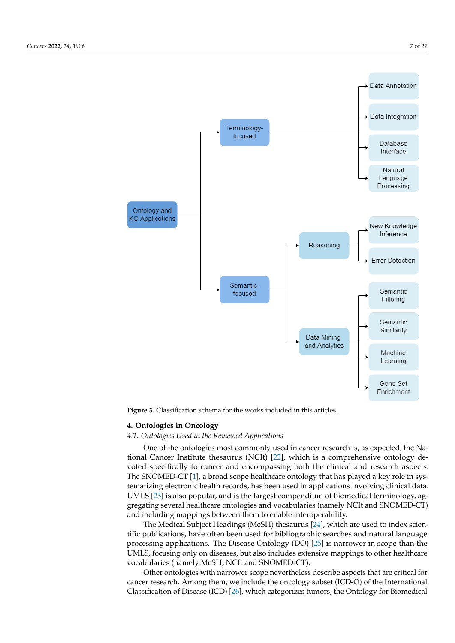<span id="page-6-1"></span>

**Figure 3.** Classification schema for the works included in this articles.

# <span id="page-6-0"></span>**4. Ontologies in Oncology**

# *4.1. Ontologies Used in the Reviewed Applications*

One of the ontologies most commonly used in cancer research is, as expected, the National Cancer Institute thesaurus (NCIt) [\[22\]](#page-21-5), which is a comprehensive ontology devoted specifically to cancer and encompassing both the clinical and research aspects. The SNOMED-CT [\[1\]](#page-20-0), a broad scope healthcare ontology that has played a key role in systematizing electronic health records, has been used in applications involving clinical data. UMLS [\[23\]](#page-21-6) is also popular, and is the largest compendium of biomedical terminology, aggregating several healthcare ontologies and vocabularies (namely NCIt and SNOMED-CT) and including mappings between them to enable interoperability.

The Medical Subject Headings (MeSH) thesaurus [\[24\]](#page-21-7), which are used to index scientific publications, have often been used for bibliographic searches and natural language processing applications. The Disease Ontology (DO) [\[25\]](#page-21-8) is narrower in scope than the UMLS, focusing only on diseases, but also includes extensive mappings to other healthcare vocabularies (namely MeSH, NCIt and SNOMED-CT).

Other ontologies with narrower scope nevertheless describe aspects that are critical for cancer research. Among them, we include the oncology subset (ICD-O) of the International Classification of Disease (ICD) [\[26\]](#page-21-9), which categorizes tumors; the Ontology for Biomedical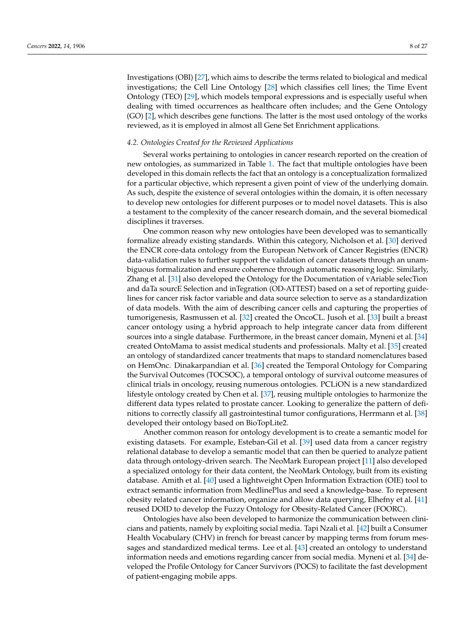Investigations (OBI) [\[27\]](#page-21-10), which aims to describe the terms related to biological and medical investigations; the Cell Line Ontology [\[28\]](#page-21-11) which classifies cell lines; the Time Event Ontology (TEO) [\[29\]](#page-21-12), which models temporal expressions and is especially useful when dealing with timed occurrences as healthcare often includes; and the Gene Ontology (GO) [\[2\]](#page-20-1), which describes gene functions. The latter is the most used ontology of the works reviewed, as it is employed in almost all Gene Set Enrichment applications.

#### *4.2. Ontologies Created for the Reviewed Applications*

Several works pertaining to ontologies in cancer research reported on the creation of new ontologies, as summarized in Table [1.](#page-9-0) The fact that multiple ontologies have been developed in this domain reflects the fact that an ontology is a conceptualization formalized for a particular objective, which represent a given point of view of the underlying domain. As such, despite the existence of several ontologies within the domain, it is often necessary to develop new ontologies for different purposes or to model novel datasets. This is also a testament to the complexity of the cancer research domain, and the several biomedical disciplines it traverses.

One common reason why new ontologies have been developed was to semantically formalize already existing standards. Within this category, Nicholson et al. [\[30\]](#page-21-13) derived the ENCR core-data ontology from the European Network of Cancer Registries (ENCR) data-validation rules to further support the validation of cancer datasets through an unambiguous formalization and ensure coherence through automatic reasoning logic. Similarly, Zhang et al. [\[31\]](#page-21-14) also developed the Ontology for the Documentation of vAriable selecTion and daTa sourcE Selection and inTegration (OD-ATTEST) based on a set of reporting guidelines for cancer risk factor variable and data source selection to serve as a standardization of data models. With the aim of describing cancer cells and capturing the properties of tumorigenesis, Rasmussen et al. [\[32\]](#page-21-15) created the OncoCL. Jusoh et al. [\[33\]](#page-21-16) built a breast cancer ontology using a hybrid approach to help integrate cancer data from different sources into a single database. Furthermore, in the breast cancer domain, Myneni et al. [\[34\]](#page-21-17) created OntoMama to assist medical students and professionals. Malty et al. [\[35\]](#page-21-18) created an ontology of standardized cancer treatments that maps to standard nomenclatures based on HemOnc. Dinakarpandian et al. [\[36\]](#page-21-19) created the Temporal Ontology for Comparing the Survival Outcomes (TOCSOC), a temporal ontology of survival outcome measures of clinical trials in oncology, reusing numerous ontologies. PCLiON is a new standardized lifestyle ontology created by Chen et al. [\[37\]](#page-21-20), reusing multiple ontologies to harmonize the different data types related to prostate cancer. Looking to generalize the pattern of definitions to correctly classify all gastrointestinal tumor configurations, Herrmann et al. [\[38\]](#page-21-21) developed their ontology based on BioTopLite2.

Another common reason for ontology development is to create a semantic model for existing datasets. For example, Esteban-Gil et al. [\[39\]](#page-21-22) used data from a cancer registry relational database to develop a semantic model that can then be queried to analyze patient data through ontology-driven search. The NeoMark European project [\[11\]](#page-20-10) also developed a specialized ontology for their data content, the NeoMark Ontology, built from its existing database. Amith et al. [\[40\]](#page-21-23) used a lightweight Open Information Extraction (OIE) tool to extract semantic information from MedlinePlus and seed a knowledge-base. To represent obesity related cancer information, organize and allow data querying, Elhefny et al. [\[41\]](#page-21-24) reused DOID to develop the Fuzzy Ontology for Obesity-Related Cancer (FOORC).

Ontologies have also been developed to harmonize the communication between clinicians and patients, namely by exploiting social media. Tapi Nzali et al. [\[42\]](#page-21-25) built a Consumer Health Vocabulary (CHV) in french for breast cancer by mapping terms from forum messages and standardized medical terms. Lee et al. [\[43\]](#page-21-26) created an ontology to understand information needs and emotions regarding cancer from social media. Myneni et al. [\[34\]](#page-21-17) developed the Profile Ontology for Cancer Survivors (POCS) to facilitate the fast development of patient-engaging mobile apps.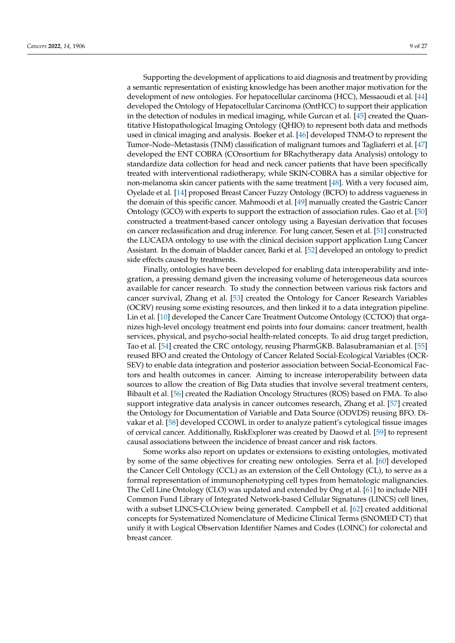Supporting the development of applications to aid diagnosis and treatment by providing a semantic representation of existing knowledge has been another major motivation for the development of new ontologies. For hepatocellular carcinoma (HCC), Messaoudi et al. [\[44\]](#page-21-27) developed the Ontology of Hepatocellular Carcinoma (OntHCC) to support their application in the detection of nodules in medical imaging, while Gurcan et al. [\[45\]](#page-21-28) created the Quantitative Histopathological Imaging Ontology (QHIO) to represent both data and methods used in clinical imaging and analysis. Boeker et al. [\[46\]](#page-21-29) developed TNM-O to represent the Tumor–Node–Metastasis (TNM) classification of malignant tumors and Tagliaferri et al. [\[47\]](#page-22-0) developed the ENT COBRA (COnsortium for BRachytherapy data Analysis) ontology to standardize data collection for head and neck cancer patients that have been specifically treated with interventional radiotherapy, while SKIN-COBRA has a similar objective for non-melanoma skin cancer patients with the same treatment [\[48\]](#page-22-1). With a very focused aim, Oyelade et al. [\[14\]](#page-20-13) proposed Breast Cancer Fuzzy Ontology (BCFO) to address vagueness in the domain of this specific cancer. Mahmoodi et al. [\[49\]](#page-22-2) manually created the Gastric Cancer Ontology (GCO) with experts to support the extraction of association rules. Gao et al. [\[50\]](#page-22-3) constructed a treatment-based cancer ontology using a Bayesian derivation that focuses on cancer reclassification and drug inference. For lung cancer, Sesen et al. [\[51\]](#page-22-4) constructed the LUCADA ontology to use with the clinical decision support application Lung Cancer Assistant. In the domain of bladder cancer, Barki et al. [\[52\]](#page-22-5) developed an ontology to predict side effects caused by treatments.

Finally, ontologies have been developed for enabling data interoperability and integration, a pressing demand given the increasing volume of heterogeneous data sources available for cancer research. To study the connection between various risk factors and cancer survival, Zhang et al. [\[53\]](#page-22-6) created the Ontology for Cancer Research Variables (OCRV) reusing some existing resources, and then linked it to a data integration pipeline. Lin et al. [\[10\]](#page-20-9) developed the Cancer Care Treatment Outcome Ontology (CCTOO) that organizes high-level oncology treatment end points into four domains: cancer treatment, health services, physical, and psycho-social health-related concepts. To aid drug target prediction, Tao et al. [\[54\]](#page-22-7) created the CRC ontology, reusing PharmGKB. Balasubramanian et al. [\[55\]](#page-22-8) reused BFO and created the Ontology of Cancer Related Social-Ecological Variables (OCR-SEV) to enable data integration and posterior association between Social-Economical Factors and health outcomes in cancer. Aiming to increase interoperability between data sources to allow the creation of Big Data studies that involve several treatment centers, Bibault et al. [\[56\]](#page-22-9) created the Radiation Oncology Structures (ROS) based on FMA. To also support integrative data analysis in cancer outcomes research, Zhang et al. [\[57\]](#page-22-10) created the Ontology for Documentation of Variable and Data Source (ODVDS) reusing BFO. Divakar et al. [\[58\]](#page-22-11) developed CCOWL in order to analyze patient's cytological tissue images of cervical cancer. Additionally, RiskExplorer was created by Daowd et al. [\[59\]](#page-22-12) to represent causal associations between the incidence of breast cancer and risk factors.

Some works also report on updates or extensions to existing ontologies, motivated by some of the same objectives for creating new ontologies. Serra et al. [\[60\]](#page-22-13) developed the Cancer Cell Ontology (CCL) as an extension of the Cell Ontology (CL), to serve as a formal representation of immunophenotyping cell types from hematologic malignancies. The Cell Line Ontology (CLO) was updated and extended by Ong et al. [\[61\]](#page-22-14) to include NIH Common Fund Library of Integrated Network-based Cellular Signatures (LINCS) cell lines, with a subset LINCS-CLOview being generated. Campbell et al. [\[62\]](#page-22-15) created additional concepts for Systematized Nomenclature of Medicine Clinical Terms (SNOMED CT) that unify it with Logical Observation Identifier Names and Codes (LOINC) for colorectal and breast cancer.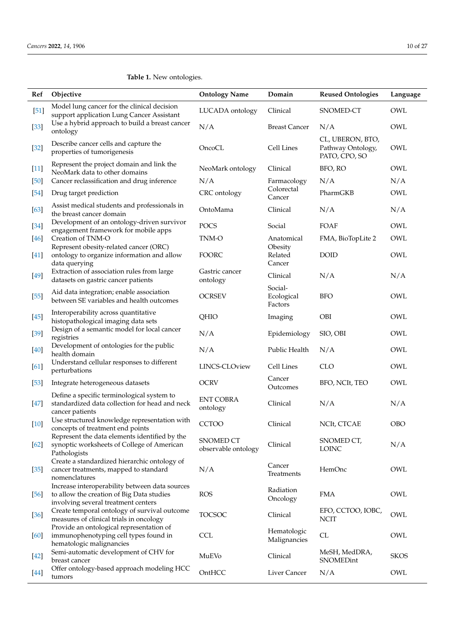# <span id="page-9-0"></span>**Table 1.** New ontologies.

| Ref    | Objective                                                                                                                          | <b>Ontology Name</b>                    | Domain                           | <b>Reused Ontologies</b>                               | Language    |
|--------|------------------------------------------------------------------------------------------------------------------------------------|-----------------------------------------|----------------------------------|--------------------------------------------------------|-------------|
| $[51]$ | Model lung cancer for the clinical decision<br>support application Lung Cancer Assistant                                           | LUCADA ontology                         | Clinical                         | SNOMED-CT                                              | OWL         |
| $[33]$ | Use a hybrid approach to build a breast cancer<br>ontology                                                                         | N/A                                     | <b>Breast Cancer</b>             | N/A                                                    | OWL         |
| $[32]$ | Describe cancer cells and capture the<br>properties of tumorigenesis                                                               | OncoCL                                  | Cell Lines                       | CL, UBERON, BTO,<br>Pathway Ontology,<br>PATO, CPO, SO | OWL         |
| $[11]$ | Represent the project domain and link the<br>NeoMark data to other domains                                                         | NeoMark ontology                        | Clinical                         | BFO, RO                                                | OWL         |
| [50]   | Cancer reclassification and drug inference                                                                                         | N/A                                     | Farmacology                      | N/A                                                    | N/A         |
| $[54]$ | Drug target prediction                                                                                                             | CRC ontology                            | Colorectal<br>Cancer             | PharmGKB                                               | OWL         |
| $[63]$ | Assist medical students and professionals in<br>the breast cancer domain                                                           | OntoMama                                | Clinical                         | N/A                                                    | N/A         |
| $[34]$ | Development of an ontology-driven survivor<br>engagement framework for mobile apps                                                 | POCS                                    | Social                           | FOAF                                                   | OWL         |
| $[46]$ | Creation of TNM-O                                                                                                                  | TNM-O                                   | Anatomical                       | FMA, BioTopLite 2                                      | OWL         |
| $[41]$ | Represent obesity-related cancer (ORC)<br>ontology to organize information and allow<br>data querying                              | FOORC                                   | Obesity<br>Related<br>Cancer     | <b>DOID</b>                                            | OWL         |
| $[49]$ | Extraction of association rules from large                                                                                         | Gastric cancer                          | Clinical                         | N/A                                                    | N/A         |
| $[55]$ | datasets on gastric cancer patients<br>Aid data integration; enable association<br>between SE variables and health outcomes        | ontology<br><b>OCRSEV</b>               | Social-<br>Ecological<br>Factors | <b>BFO</b>                                             | OWL         |
| $[45]$ | Interoperability across quantitative<br>histopathological imaging data sets                                                        | QHIO                                    | Imaging                          | OBI                                                    | OWL         |
| $[39]$ | Design of a semantic model for local cancer<br>registries                                                                          | N/A                                     | Epidemiology                     | SIO, OBI                                               | OWL         |
| $[40]$ | Development of ontologies for the public<br>health domain                                                                          | N/A                                     | Public Health                    | N/A                                                    | OWL         |
| $[61]$ | Understand cellular responses to different<br>perturbations                                                                        | LINCS-CLOview                           | Cell Lines                       | <b>CLO</b>                                             | OWL         |
| $[53]$ | Integrate heterogeneous datasets                                                                                                   | <b>OCRV</b>                             | Cancer<br>Outcomes               | BFO, NCIt, TEO                                         | OWL         |
| $[47]$ | Define a specific terminological system to<br>standardized data collection for head and neck<br>cancer patients                    | <b>ENT COBRA</b><br>ontology            | Clinical                         | N/A                                                    | N/A         |
| $[10]$ | Use structured knowledge representation with<br>concepts of treatment end points                                                   | <b>CCTOO</b>                            | Clinical                         | NCIt, CTCAE                                            | <b>OBO</b>  |
| $[62]$ | Represent the data elements identified by the<br>synoptic worksheets of College of American<br>Pathologists                        | <b>SNOMED CT</b><br>observable ontology | Clinical                         | SNOMED CT,<br>LOINC                                    | N/A         |
| $[35]$ | Create a standardized hierarchic ontology of<br>cancer treatments, mapped to standard<br>nomenclatures                             | N/A                                     | Cancer<br>Treatments             | HemOnc                                                 | OWL         |
| [56]   | Increase interoperability between data sources<br>to allow the creation of Big Data studies<br>involving several treatment centers | <b>ROS</b>                              | Radiation<br>Oncology            | <b>FMA</b>                                             | OWL         |
| $[36]$ | Create temporal ontology of survival outcome<br>measures of clinical trials in oncology                                            | <b>TOCSOC</b>                           | Clinical                         | EFO, CCTOO, IOBC,<br><b>NCIT</b>                       | OWL         |
| [60]   | Provide an ontological representation of<br>immunophenotyping cell types found in<br>hematologic malignancies                      | <b>CCL</b>                              | Hematologic<br>Malignancies      | CL                                                     | OWL         |
| $[42]$ | Semi-automatic development of CHV for<br>breast cancer                                                                             | MuEVo                                   | Clinical                         | MeSH, MedDRA,<br>SNOMEDint                             | <b>SKOS</b> |
| [44]   | Offer ontology-based approach modeling HCC<br>tumors                                                                               | OntHCC                                  | Liver Cancer                     | N/A                                                    | OWL         |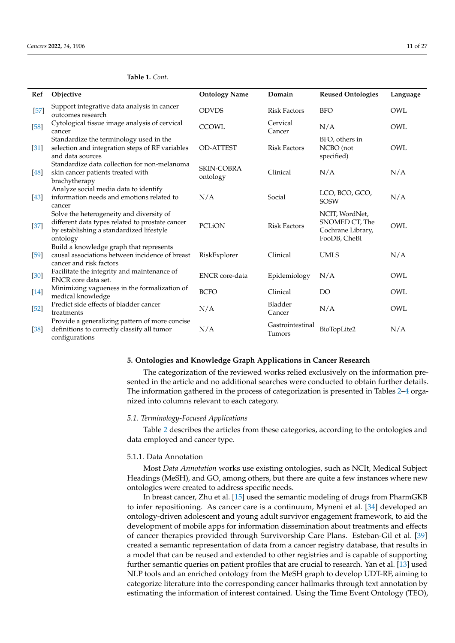| Ref    | Objective                                                                                                                                           | <b>Ontology Name</b>          | Domain                     | <b>Reused Ontologies</b>                                              | Language |
|--------|-----------------------------------------------------------------------------------------------------------------------------------------------------|-------------------------------|----------------------------|-----------------------------------------------------------------------|----------|
| $[57]$ | Support integrative data analysis in cancer<br>outcomes research                                                                                    | <b>ODVDS</b>                  | <b>Risk Factors</b>        | <b>BFO</b>                                                            | OWL      |
| [58]   | Cytological tissue image analysis of cervical<br>cancer                                                                                             | <b>CCOWL</b>                  | Cervical<br>Cancer         | N/A                                                                   | OWL      |
| $[31]$ | Standardize the terminology used in the<br>selection and integration steps of RF variables<br>and data sources                                      | <b>OD-ATTEST</b>              | <b>Risk Factors</b>        | BFO, others in<br>NCBO (not<br>specified)                             | OWL      |
| [48]   | Standardize data collection for non-melanoma<br>skin cancer patients treated with<br>brachytherapy                                                  | <b>SKIN-COBRA</b><br>ontology | Clinical                   | N/A                                                                   | N/A      |
| $[43]$ | Analyze social media data to identify<br>information needs and emotions related to<br>cancer                                                        | N/A                           | Social                     | LCO, BCO, GCO,<br><b>SOSW</b>                                         | N/A      |
| $[37]$ | Solve the heterogeneity and diversity of<br>different data types related to prostate cancer<br>by establishing a standardized lifestyle<br>ontology | <b>PCLION</b>                 | <b>Risk Factors</b>        | NCIT, WordNet,<br>SNOMED CT, The<br>Cochrane Library,<br>FooDB, CheBI | OWL      |
| $[59]$ | Build a knowledge graph that represents<br>causal associations between incidence of breast<br>cancer and risk factors                               | RiskExplorer                  | Clinical                   | <b>UMLS</b>                                                           | N/A      |
| $[30]$ | Facilitate the integrity and maintenance of<br>ENCR core data set.                                                                                  | <b>ENCR</b> core-data         | Epidemiology               | N/A                                                                   | OWL      |
| $[14]$ | Minimizing vagueness in the formalization of<br>medical knowledge                                                                                   | <b>BCFO</b>                   | Clinical                   | <b>DO</b>                                                             | OWL      |
| $[52]$ | Predict side effects of bladder cancer<br>treatments                                                                                                | N/A                           | Bladder<br>Cancer          | N/A                                                                   | OWL      |
| $[38]$ | Provide a generalizing pattern of more concise<br>definitions to correctly classify all tumor<br>configurations                                     | N/A                           | Gastrointestinal<br>Tumors | BioTopLite2                                                           | N/A      |

**Table 1.** *Cont.*

# <span id="page-10-0"></span>**5. Ontologies and Knowledge Graph Applications in Cancer Research**

The categorization of the reviewed works relied exclusively on the information presented in the article and no additional searches were conducted to obtain further details. The information gathered in the process of categorization is presented in Tables [2](#page-12-0)[–4](#page-15-0) organized into columns relevant to each category.

#### *5.1. Terminology-Focused Applications*

Table [2](#page-12-0) describes the articles from these categories, according to the ontologies and data employed and cancer type.

# 5.1.1. Data Annotation

Most *Data Annotation* works use existing ontologies, such as NCIt, Medical Subject Headings (MeSH), and GO, among others, but there are quite a few instances where new ontologies were created to address specific needs.

In breast cancer, Zhu et al. [\[15\]](#page-20-14) used the semantic modeling of drugs from PharmGKB to infer repositioning. As cancer care is a continuum, Myneni et al. [\[34\]](#page-21-17) developed an ontology-driven adolescent and young adult survivor engagement framework, to aid the development of mobile apps for information dissemination about treatments and effects of cancer therapies provided through Survivorship Care Plans. Esteban-Gil et al. [\[39\]](#page-21-22) created a semantic representation of data from a cancer registry database, that results in a model that can be reused and extended to other registries and is capable of supporting further semantic queries on patient profiles that are crucial to research. Yan et al. [\[13\]](#page-20-12) used NLP tools and an enriched ontology from the MeSH graph to develop UDT-RF, aiming to categorize literature into the corresponding cancer hallmarks through text annotation by estimating the information of interest contained. Using the Time Event Ontology (TEO),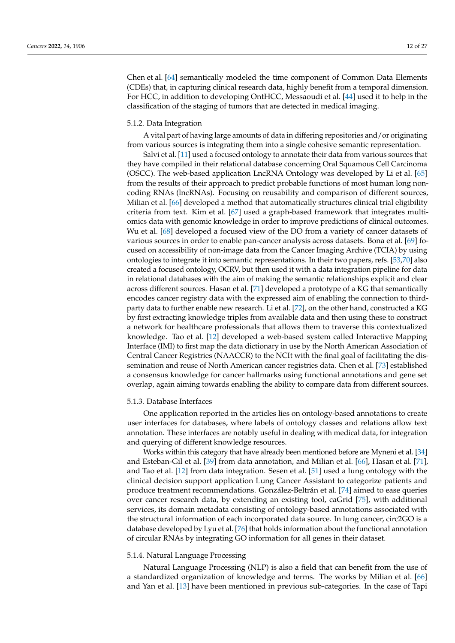Chen et al. [\[64\]](#page-22-17) semantically modeled the time component of Common Data Elements (CDEs) that, in capturing clinical research data, highly benefit from a temporal dimension. For HCC, in addition to developing OntHCC, Messaoudi et al. [\[44\]](#page-21-27) used it to help in the classification of the staging of tumors that are detected in medical imaging.

#### 5.1.2. Data Integration

A vital part of having large amounts of data in differing repositories and/or originating from various sources is integrating them into a single cohesive semantic representation.

Salvi et al. [\[11\]](#page-20-10) used a focused ontology to annotate their data from various sources that they have compiled in their relational database concerning Oral Squamous Cell Carcinoma (OSCC). The web-based application LncRNA Ontology was developed by Li et al. [\[65\]](#page-22-18) from the results of their approach to predict probable functions of most human long noncoding RNAs (lncRNAs). Focusing on reusability and comparison of different sources, Milian et al. [\[66\]](#page-22-19) developed a method that automatically structures clinical trial eligibility criteria from text. Kim et al. [\[67\]](#page-22-20) used a graph-based framework that integrates multiomics data with genomic knowledge in order to improve predictions of clinical outcomes. Wu et al. [\[68\]](#page-22-21) developed a focused view of the DO from a variety of cancer datasets of various sources in order to enable pan-cancer analysis across datasets. Bona et al. [\[69\]](#page-22-22) focused on accessibility of non-image data from the Cancer Imaging Archive (TCIA) by using ontologies to integrate it into semantic representations. In their two papers, refs. [\[53,](#page-22-6)[70\]](#page-22-23) also created a focused ontology, OCRV, but then used it with a data integration pipeline for data in relational databases with the aim of making the semantic relationships explicit and clear across different sources. Hasan et al. [\[71\]](#page-23-0) developed a prototype of a KG that semantically encodes cancer registry data with the expressed aim of enabling the connection to thirdparty data to further enable new research. Li et al. [\[72\]](#page-23-1), on the other hand, constructed a KG by first extracting knowledge triples from available data and then using these to construct a network for healthcare professionals that allows them to traverse this contextualized knowledge. Tao et al. [\[12\]](#page-20-11) developed a web-based system called Interactive Mapping Interface (IMI) to first map the data dictionary in use by the North American Association of Central Cancer Registries (NAACCR) to the NCIt with the final goal of facilitating the dissemination and reuse of North American cancer registries data. Chen et al. [\[73\]](#page-23-2) established a consensus knowledge for cancer hallmarks using functional annotations and gene set overlap, again aiming towards enabling the ability to compare data from different sources.

#### 5.1.3. Database Interfaces

One application reported in the articles lies on ontology-based annotations to create user interfaces for databases, where labels of ontology classes and relations allow text annotation. These interfaces are notably useful in dealing with medical data, for integration and querying of different knowledge resources.

Works within this category that have already been mentioned before are Myneni et al. [\[34\]](#page-21-17) and Esteban-Gil et al. [\[39\]](#page-21-22) from data annotation, and Milian et al. [\[66\]](#page-22-19), Hasan et al. [\[71\]](#page-23-0), and Tao et al. [\[12\]](#page-20-11) from data integration. Sesen et al. [\[51\]](#page-22-4) used a lung ontology with the clinical decision support application Lung Cancer Assistant to categorize patients and produce treatment recommendations. González-Beltrán et al. [\[74\]](#page-23-3) aimed to ease queries over cancer research data, by extending an existing tool, caGrid [\[75\]](#page-23-4), with additional services, its domain metadata consisting of ontology-based annotations associated with the structural information of each incorporated data source. In lung cancer, circ2GO is a database developed by Lyu et al. [\[76\]](#page-23-5) that holds information about the functional annotation of circular RNAs by integrating GO information for all genes in their dataset.

#### 5.1.4. Natural Language Processing

Natural Language Processing (NLP) is also a field that can benefit from the use of a standardized organization of knowledge and terms. The works by Milian et al. [\[66\]](#page-22-19) and Yan et al. [\[13\]](#page-20-12) have been mentioned in previous sub-categories. In the case of Tapi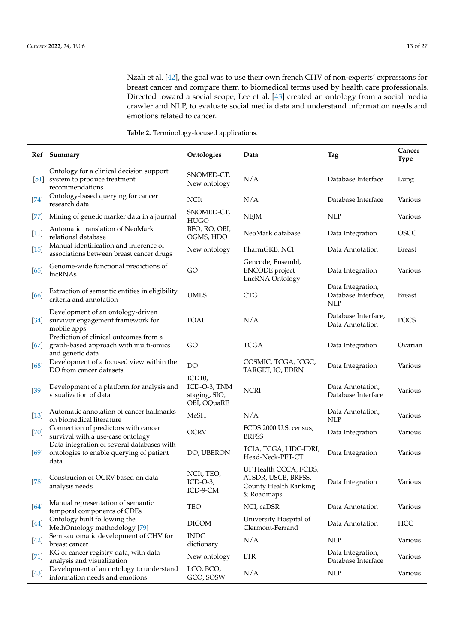Nzali et al. [\[42\]](#page-21-25), the goal was to use their own french CHV of non-experts' expressions for breast cancer and compare them to biomedical terms used by health care professionals. Directed toward a social scope, Lee et al. [\[43\]](#page-21-26) created an ontology from a social media crawler and NLP, to evaluate social media data and understand information needs and emotions related to cancer.

<span id="page-12-0"></span>**Table 2.** Terminology-focused applications.

|        | Ref Summary                                                                                         | Ontologies                                             | Data                                                                                | Tag                                                    | Cancer<br><b>Type</b> |
|--------|-----------------------------------------------------------------------------------------------------|--------------------------------------------------------|-------------------------------------------------------------------------------------|--------------------------------------------------------|-----------------------|
| $[51]$ | Ontology for a clinical decision support<br>system to produce treatment<br>recommendations          | SNOMED-CT,<br>New ontology                             | N/A                                                                                 | Database Interface                                     | Lung                  |
| $[74]$ | Ontology-based querying for cancer<br>research data                                                 | <b>NCIt</b>                                            | N/A                                                                                 | Database Interface                                     | Various               |
| $[77]$ | Mining of genetic marker data in a journal                                                          | SNOMED-CT,<br><b>HUGO</b>                              | <b>NEJM</b>                                                                         | <b>NLP</b>                                             | Various               |
| $[11]$ | Automatic translation of NeoMark<br>relational database                                             | BFO, RO, OBI,<br>OGMS, HDO                             | NeoMark database                                                                    | Data Integration                                       | <b>OSCC</b>           |
| $[15]$ | Manual identification and inference of<br>associations between breast cancer drugs                  | New ontology                                           | PharmGKB, NCI                                                                       | Data Annotation                                        | <b>Breast</b>         |
| $[65]$ | Genome-wide functional predictions of<br>lncRNAs                                                    | GO                                                     | Gencode, Ensembl,<br><b>ENCODE</b> project<br>LncRNA Ontology                       | Data Integration                                       | Various               |
| [66]   | Extraction of semantic entities in eligibility<br>criteria and annotation                           | <b>UMLS</b>                                            | <b>CTG</b>                                                                          | Data Integration,<br>Database Interface,<br><b>NLP</b> | <b>Breast</b>         |
| $[34]$ | Development of an ontology-driven<br>survivor engagement framework for<br>mobile apps               | FOAF                                                   | N/A                                                                                 | Database Interface,<br>Data Annotation                 | POCS                  |
| $[67]$ | Prediction of clinical outcomes from a<br>graph-based approach with multi-omics<br>and genetic data | GO                                                     | <b>TCGA</b>                                                                         | Data Integration                                       | Ovarian               |
| [68]   | Development of a focused view within the<br>DO from cancer datasets                                 | DO                                                     | COSMIC, TCGA, ICGC,<br>TARGET, IO, EDRN                                             | Data Integration                                       | Various               |
| $[39]$ | Development of a platform for analysis and<br>visualization of data                                 | ICD10,<br>ICD-O-3, TNM<br>staging, SIO,<br>OBI, OQuaRE | <b>NCRI</b>                                                                         | Data Annotation,<br>Database Interface                 | Various               |
| $[13]$ | Automatic annotation of cancer hallmarks<br>on biomedical literature                                | <b>MeSH</b>                                            | N/A                                                                                 | Data Annotation,<br><b>NLP</b>                         | Various               |
| [70]   | Connection of predictors with cancer<br>survival with a use-case ontology                           | <b>OCRV</b>                                            | FCDS 2000 U.S. census,<br><b>BRFSS</b>                                              | Data Integration                                       | Various               |
| $[69]$ | Data integration of several databases with<br>ontologies to enable querying of patient<br>data      | DO, UBERON                                             | TCIA, TCGA, LIDC-IDRI,<br>Head-Neck-PET-CT                                          | Data Integration                                       | Various               |
| $[78]$ | Construcion of OCRV based on data<br>analysis needs                                                 | NCIt, TEO,<br>$ICD-O-3$<br>ICD-9-CM                    | UF Health CCCA, FCDS,<br>ATSDR, USCB, BRFSS,<br>County Health Ranking<br>& Roadmaps | Data Integration                                       | Various               |
| $[64]$ | Manual representation of semantic<br>temporal components of CDEs                                    | <b>TEO</b>                                             | NCI, caDSR                                                                          | Data Annotation                                        | Various               |
| [44]   | Ontology built following the<br>MethOntology methodology [79]                                       | <b>DICOM</b>                                           | University Hospital of<br>Clermont-Ferrand                                          | Data Annotation                                        | HCC                   |
| $[42]$ | Semi-automatic development of CHV for<br>breast cancer                                              | <b>INDC</b><br>dictionary                              | N/A                                                                                 | <b>NLP</b>                                             | Various               |
| $[71]$ | KG of cancer registry data, with data<br>analysis and visualization                                 | New ontology                                           | LTR                                                                                 | Data Integration,<br>Database Interface                | Various               |
| $[43]$ | Development of an ontology to understand<br>information needs and emotions                          | LCO, BCO,<br>GCO, SOSW                                 | N/A                                                                                 | <b>NLP</b>                                             | Various               |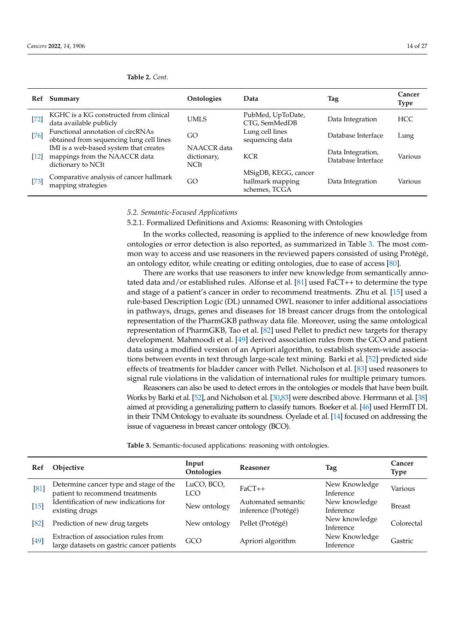| Ref                | Summary                                                                                       | Ontologies                                | Data                                                      | Tag                                     | Cancer<br><b>Type</b> |
|--------------------|-----------------------------------------------------------------------------------------------|-------------------------------------------|-----------------------------------------------------------|-----------------------------------------|-----------------------|
| $[72]$             | KGHC is a KG constructed from clinical<br>data available publicly                             | UMLS                                      | PubMed, UpToDate,<br>CTG, SemMedDB                        | Data Integration                        | <b>HCC</b>            |
| $[76]$             | Functional annotation of circRNAs<br>obtained from sequencing lung cell lines                 | GO                                        | Lung cell lines<br>sequencing data                        | Database Interface                      | Lung                  |
| $\lceil 12 \rceil$ | IMI is a web-based system that creates<br>mappings from the NAACCR data<br>dictionary to NCIt | NAACCR data<br>dictionary,<br><b>NCIt</b> | <b>KCR</b>                                                | Data Integration,<br>Database Interface | Various               |
| [73]               | Comparative analysis of cancer hallmark<br>mapping strategies                                 | GO                                        | MSigDB, KEGG, cancer<br>hallmark mapping<br>schemes, TCGA | Data Integration                        | Various               |

**Table 2.** *Cont.*

# *5.2. Semantic-Focused Applications*

5.2.1. Formalized Definitions and Axioms: Reasoning with Ontologies

In the works collected, reasoning is applied to the inference of new knowledge from ontologies or error detection is also reported, as summarized in Table [3.](#page-13-0) The most common way to access and use reasoners in the reviewed papers consisted of using Protégé, an ontology editor, while creating or editing ontologies, due to ease of access [\[80\]](#page-23-9).

There are works that use reasoners to infer new knowledge from semantically annotated data and/or established rules. Alfonse et al. [\[81\]](#page-23-10) used FaCT++ to determine the type and stage of a patient's cancer in order to recommend treatments. Zhu et al. [\[15\]](#page-20-14) used a rule-based Description Logic (DL) unnamed OWL reasoner to infer additional associations in pathways, drugs, genes and diseases for 18 breast cancer drugs from the ontological representation of the PharmGKB pathway data file. Moreover, using the same ontological representation of PharmGKB, Tao et al. [\[82\]](#page-23-11) used Pellet to predict new targets for therapy development. Mahmoodi et al. [\[49\]](#page-22-2) derived association rules from the GCO and patient data using a modified version of an Apriori algorithm, to establish system-wide associations between events in text through large-scale text mining. Barki et al. [\[52\]](#page-22-5) predicted side effects of treatments for bladder cancer with Pellet. Nicholson et al. [\[83\]](#page-23-12) used reasoners to signal rule violations in the validation of international rules for multiple primary tumors.

Reasoners can also be used to detect errors in the ontologies or models that have been built. Works by Barki et al. [\[52\]](#page-22-5), and Nicholson et al. [\[30](#page-21-13)[,83\]](#page-23-12) were described above. Herrmann et al. [\[38\]](#page-21-21) aimed at providing a generalizing pattern to classify tumors. Boeker et al. [\[46\]](#page-21-29) used HermIT DL in their TNM Ontology to evaluate its soundness. Oyelade et al. [\[14\]](#page-20-13) focused on addressing the issue of vagueness in breast cancer ontology (BCO).

<span id="page-13-0"></span>**Table 3.** Semantic-focused applications: reasoning with ontologies.

| Ref    | Objective                                                                         | Input<br>Ontologies | <b>Reasoner</b>                           | Tag                        | Cancer<br>Type |
|--------|-----------------------------------------------------------------------------------|---------------------|-------------------------------------------|----------------------------|----------------|
| [81]   | Determine cancer type and stage of the<br>patient to recommend treatments         | LuCO, BCO,<br>LCO   | $FaCT++$                                  | New Knowledge<br>Inference | Various        |
| $[15]$ | Identification of new indications for<br>existing drugs                           | New ontology        | Automated semantic<br>inference (Protégé) | New knowledge<br>Inference | <b>Breast</b>  |
| [82]   | Prediction of new drug targets                                                    | New ontology        | Pellet (Protégé)                          | New knowledge<br>Inference | Colorectal     |
| $[49]$ | Extraction of association rules from<br>large datasets on gastric cancer patients | GCO                 | Apriori algorithm                         | New Knowledge<br>Inference | Gastric        |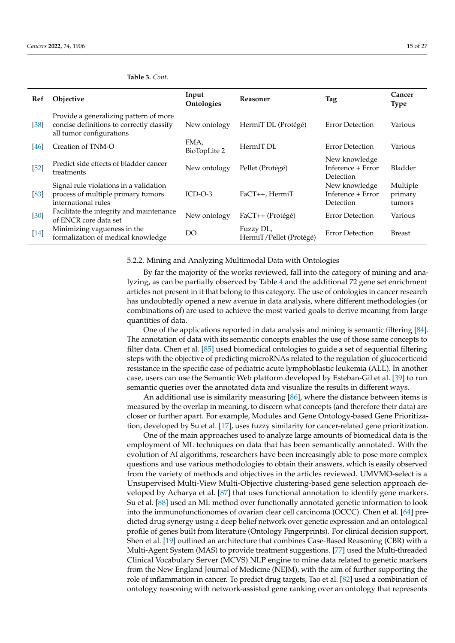| Ref    | Objective                                                                                                       | Input<br>Ontologies  | <b>Reasoner</b>                      | Tag                                             | Cancer<br><b>Type</b>         |
|--------|-----------------------------------------------------------------------------------------------------------------|----------------------|--------------------------------------|-------------------------------------------------|-------------------------------|
| $[38]$ | Provide a generalizing pattern of more<br>concise definitions to correctly classify<br>all tumor configurations | New ontology         | HermiT DL (Protégé)                  | Error Detection                                 | Various                       |
| 46     | Creation of TNM-O                                                                                               | FMA,<br>BioTopLite 2 | HermIT DL                            | Error Detection                                 | Various                       |
| $[52]$ | Predict side effects of bladder cancer<br>treatments                                                            | New ontology         | Pellet (Protégé)                     | New knowledge<br>Inference + Error<br>Detection | Bladder                       |
| [83]   | Signal rule violations in a validation<br>process of multiple primary tumors<br>international rules             | $ICD-O-3$            | FaCT++, HermiT                       | New knowledge<br>Inference + Error<br>Detection | Multiple<br>primary<br>tumors |
| $[30]$ | Facilitate the integrity and maintenance<br>of ENCR core data set                                               | New ontology         | $FacT++(Protégé)$                    | <b>Error Detection</b>                          | Various                       |
| $[14]$ | Minimizing vagueness in the<br>formalization of medical knowledge                                               | DO                   | Fuzzy DL,<br>HermiT/Pellet (Protégé) | Error Detection                                 | <b>Breast</b>                 |

# **Table 3.** *Cont.*

#### 5.2.2. Mining and Analyzing Multimodal Data with Ontologies

By far the majority of the works reviewed, fall into the category of mining and analyzing, as can be partially observed by Table [4](#page-15-0) and the additional 72 gene set enrichment articles not present in it that belong to this category. The use of ontologies in cancer research has undoubtedly opened a new avenue in data analysis, where different methodologies (or combinations of) are used to achieve the most varied goals to derive meaning from large quantities of data.

One of the applications reported in data analysis and mining is semantic filtering [\[84\]](#page-23-13). The annotation of data with its semantic concepts enables the use of those same concepts to filter data. Chen et al. [\[85\]](#page-23-14) used biomedical ontologies to guide a set of sequential filtering steps with the objective of predicting microRNAs related to the regulation of glucocorticoid resistance in the specific case of pediatric acute lymphoblastic leukemia (ALL). In another case, users can use the Semantic Web platform developed by Esteban-Gil et al. [\[39\]](#page-21-22) to run semantic queries over the annotated data and visualize the results in different ways.

An additional use is similarity measuring [\[86\]](#page-23-15), where the distance between items is measured by the overlap in meaning, to discern what concepts (and therefore their data) are closer or further apart. For example, Modules and Gene Ontology-based Gene Prioritization, developed by Su et al. [\[17\]](#page-21-0), uses fuzzy similarity for cancer-related gene prioritization.

One of the main approaches used to analyze large amounts of biomedical data is the employment of ML techniques on data that has been semantically annotated. With the evolution of AI algorithms, researchers have been increasingly able to pose more complex questions and use various methodologies to obtain their answers, which is easily observed from the variety of methods and objectives in the articles reviewed. UMVMO-select is a Unsupervised Multi-View Multi-Objective clustering-based gene selection approach developed by Acharya et al. [\[87\]](#page-23-16) that uses functional annotation to identify gene markers. Su et al. [\[88\]](#page-23-17) used an ML method over functionally annotated genetic information to look into the immunofunctionomes of ovarian clear cell carcinoma (OCCC). Chen et al. [\[64\]](#page-22-17) predicted drug synergy using a deep belief network over genetic expression and an ontological profile of genes built from literature (Ontology Fingerprints). For clinical decision support, Shen et al. [\[19\]](#page-21-2) outlined an architecture that combines Case-Based Reasoning (CBR) with a Multi-Agent System (MAS) to provide treatment suggestions. [\[77\]](#page-23-6) used the Multi-threaded Clinical Vocabulary Server (MCVS) NLP engine to mine data related to genetic markers from the New England Journal of Medicine (NEJM), with the aim of further supporting the role of inflammation in cancer. To predict drug targets, Tao et al. [\[82\]](#page-23-11) used a combination of ontology reasoning with network-assisted gene ranking over an ontology that represents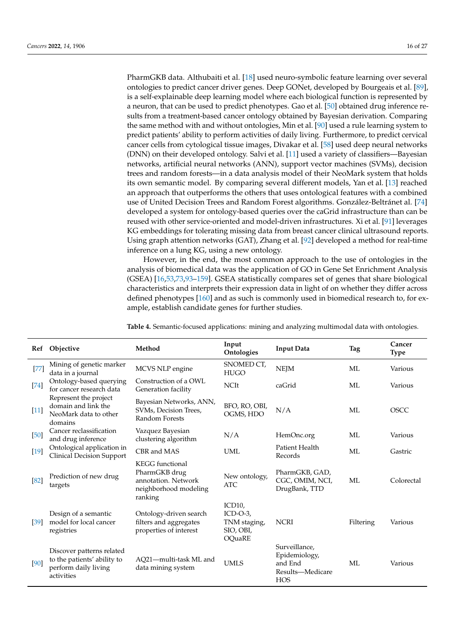PharmGKB data. Althubaiti et al. [\[18\]](#page-21-1) used neuro-symbolic feature learning over several ontologies to predict cancer driver genes. Deep GONet, developed by Bourgeais et al. [\[89\]](#page-23-18), is a self-explainable deep learning model where each biological function is represented by a neuron, that can be used to predict phenotypes. Gao et al. [\[50\]](#page-22-3) obtained drug inference results from a treatment-based cancer ontology obtained by Bayesian derivation. Comparing the same method with and without ontologies, Min et al. [\[90\]](#page-23-19) used a rule learning system to predict patients' ability to perform activities of daily living. Furthermore, to predict cervical cancer cells from cytological tissue images, Divakar et al. [\[58\]](#page-22-11) used deep neural networks (DNN) on their developed ontology. Salvi et al. [\[11\]](#page-20-10) used a variety of classifiers—Bayesian networks, artificial neural networks (ANN), support vector machines (SVMs), decision trees and random forests—in a data analysis model of their NeoMark system that holds its own semantic model. By comparing several different models, Yan et al. [\[13\]](#page-20-12) reached an approach that outperforms the others that uses ontological features with a combined use of United Decision Trees and Random Forest algorithms. González-Beltránet al. [\[74\]](#page-23-3) developed a system for ontology-based queries over the caGrid infrastructure than can be reused with other service-oriented and model-driven infrastructures. Xi et al. [\[91\]](#page-23-20) leverages KG embeddings for tolerating missing data from breast cancer clinical ultrasound reports. Using graph attention networks (GAT), Zhang et al. [\[92\]](#page-23-21) developed a method for real-time inference on a lung KG, using a new ontology.

However, in the end, the most common approach to the use of ontologies in the analysis of biomedical data was the application of GO in Gene Set Enrichment Analysis (GSEA) [\[16,](#page-20-15)[53,](#page-22-6)[73,](#page-23-2)[93](#page-23-22)[–159\]](#page-26-0). GSEA statistically compares set of genes that share biological characteristics and interprets their expression data in light of on whether they differ across defined phenotypes [\[160\]](#page-26-1) and as such is commonly used in biomedical research to, for example, establish candidate genes for further studies.

| Ref    | Objective                                                                                      | Method                                                                                             | Input<br>Ontologies                                                     | <b>Input Data</b>                                                           | Tag       | Cancer<br><b>Type</b> |
|--------|------------------------------------------------------------------------------------------------|----------------------------------------------------------------------------------------------------|-------------------------------------------------------------------------|-----------------------------------------------------------------------------|-----------|-----------------------|
| $[77]$ | Mining of genetic marker<br>data in a journal                                                  | MCVS NLP engine                                                                                    | SNOMED CT,<br><b>HUGO</b>                                               | <b>NEJM</b>                                                                 | ML        | Various               |
| $[74]$ | Ontology-based querying<br>for cancer research data                                            | Construction of a OWL<br>Generation facility                                                       | <b>NCIt</b>                                                             | caGrid                                                                      | MI.       | Various               |
| $[11]$ | Represent the project<br>domain and link the<br>NeoMark data to other<br>domains               | Bayesian Networks, ANN,<br>SVMs, Decision Trees,<br>Random Forests                                 | BFO, RO, OBI,<br>OGMS, HDO                                              | N/A                                                                         | ML        | <b>OSCC</b>           |
| $[50]$ | Cancer reclassification<br>and drug inference                                                  | Vazquez Bayesian<br>clustering algorithm                                                           | N/A                                                                     | HemOnc.org                                                                  | MI.       | Various               |
| $[19]$ | Ontological application in<br><b>Clinical Decision Support</b>                                 | CBR and MAS                                                                                        | UML                                                                     | Patient Health<br>Records                                                   | ML        | Gastric               |
| [82]   | Prediction of new drug<br>targets                                                              | <b>KEGG</b> functional<br>PharmGKB drug<br>annotation. Network<br>neighborhood modeling<br>ranking | New ontology,<br><b>ATC</b>                                             | PharmGKB, GAD,<br>CGC, OMIM, NCI,<br>DrugBank, TTD                          | MI.       | Colorectal            |
| [39]   | Design of a semantic<br>model for local cancer<br>registries                                   | Ontology-driven search<br>filters and aggregates<br>properties of interest                         | ICD <sub>10</sub><br>$ICD-O-3$ ,<br>TNM staging,<br>SIO, OBI,<br>OOuaRE | <b>NCRI</b>                                                                 | Filtering | Various               |
| [90]   | Discover patterns related<br>to the patients' ability to<br>perform daily living<br>activities | AO21-multi-task ML and<br>data mining system                                                       | <b>UMLS</b>                                                             | Surveillance,<br>Epidemiology,<br>and End<br>Results-Medicare<br><b>HOS</b> | MI.       | Various               |

<span id="page-15-0"></span>**Table 4.** Semantic-focused applications: mining and analyzing multimodal data with ontologies.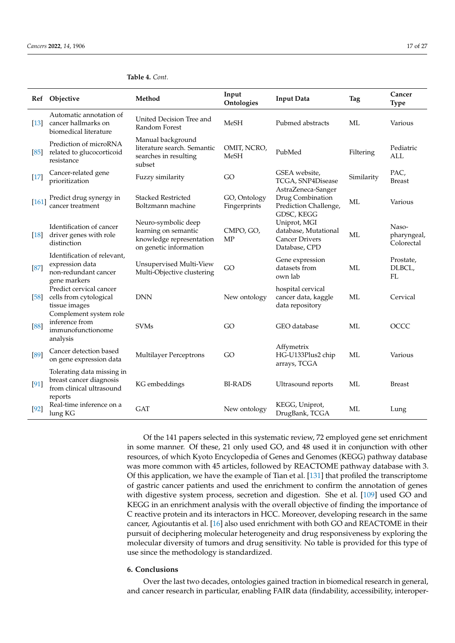|                    | Ref Objective                                                                                | Method                                                                                            | Input<br>Ontologies          | <b>Input Data</b>                                                              | <b>Tag</b> | Cancer<br><b>Type</b>              |
|--------------------|----------------------------------------------------------------------------------------------|---------------------------------------------------------------------------------------------------|------------------------------|--------------------------------------------------------------------------------|------------|------------------------------------|
| $\lceil 13 \rceil$ | Automatic annotation of<br>cancer hallmarks on<br>biomedical literature                      | United Decision Tree and<br>Random Forest                                                         | <b>MeSH</b>                  | Pubmed abstracts                                                               | ML         | Various                            |
| [85]               | Prediction of microRNA<br>related to glucocorticoid<br>resistance                            | Manual background<br>literature search. Semantic<br>searches in resulting<br>subset               | OMIT, NCRO,<br><b>MeSH</b>   | PubMed                                                                         | Filtering  | Pediatric<br><b>ALL</b>            |
| $[17]$             | Cancer-related gene<br>prioritization                                                        | Fuzzy similarity                                                                                  | GO                           | GSEA website,<br>TCGA, SNP4Disease<br>AstraZeneca-Sanger                       | Similarity | PAC,<br><b>Breast</b>              |
| $[161]$            | Predict drug synergy in<br>cancer treatment                                                  | <b>Stacked Restricted</b><br>Boltzmann machine                                                    | GO, Ontology<br>Fingerprints | Drug Combination<br>Prediction Challenge,<br>GDSC, KEGG                        | ML         | Various                            |
| $[18]$             | Identification of cancer<br>driver genes with role<br>distinction                            | Neuro-symbolic deep<br>learning on semantic<br>knowledge representation<br>on genetic information | CMPO, GO,<br><b>MP</b>       | Uniprot, MGI<br>database, Mutational<br><b>Cancer Drivers</b><br>Database, CPD | MI.        | Naso-<br>pharyngeal,<br>Colorectal |
| [87]               | Identification of relevant,<br>expression data<br>non-redundant cancer<br>gene markers       | Unsupervised Multi-View<br>Multi-Objective clustering                                             | GO                           | Gene expression<br>datasets from<br>own lab                                    | ML         | Prostate,<br>DLBCL,<br>FL          |
| $[58]$             | Predict cervical cancer<br>cells from cytological<br>tissue images<br>Complement system role | <b>DNN</b>                                                                                        | New ontology                 | hospital cervical<br>cancer data, kaggle<br>data repository                    | ML         | Cervical                           |
| [88]               | inference from<br>immunofunctionome<br>analysis                                              | <b>SVMs</b>                                                                                       | GO                           | GEO database                                                                   | ML         | OCCC                               |
| $[89]$             | Cancer detection based<br>on gene expression data                                            | <b>Multilayer Perceptrons</b>                                                                     | GO                           | Affymetrix<br>HG-U133Plus2 chip<br>arrays, TCGA                                | МL         | Various                            |
| $[91]$             | Tolerating data missing in<br>breast cancer diagnosis<br>from clinical ultrasound<br>reports | KG embeddings                                                                                     | <b>BI-RADS</b>               | Ultrasound reports                                                             | ML         | <b>Breast</b>                      |
| $[92]$             | Real-time inference on a<br>lung KG                                                          | <b>GAT</b>                                                                                        | New ontology                 | KEGG, Uniprot,<br>DrugBank, TCGA                                               | ML         | Lung                               |

**Table 4.** *Cont.*

Of the 141 papers selected in this systematic review, 72 employed gene set enrichment in some manner. Of these, 21 only used GO, and 48 used it in conjunction with other resources, of which Kyoto Encyclopedia of Genes and Genomes (KEGG) pathway database was more common with 45 articles, followed by REACTOME pathway database with 3. Of this application, we have the example of Tian et al. [\[131\]](#page-25-0) that profiled the transcriptome of gastric cancer patients and used the enrichment to confirm the annotation of genes with digestive system process, secretion and digestion. She et al. [\[109\]](#page-24-0) used GO and KEGG in an enrichment analysis with the overall objective of finding the importance of C reactive protein and its interactors in HCC. Moreover, developing research in the same cancer, Agioutantis et al. [\[16\]](#page-20-15) also used enrichment with both GO and REACTOME in their pursuit of deciphering molecular heterogeneity and drug responsiveness by exploring the molecular diversity of tumors and drug sensitivity. No table is provided for this type of use since the methodology is standardized.

#### <span id="page-16-0"></span>**6. Conclusions**

Over the last two decades, ontologies gained traction in biomedical research in general, and cancer research in particular, enabling FAIR data (findability, accessibility, interoper-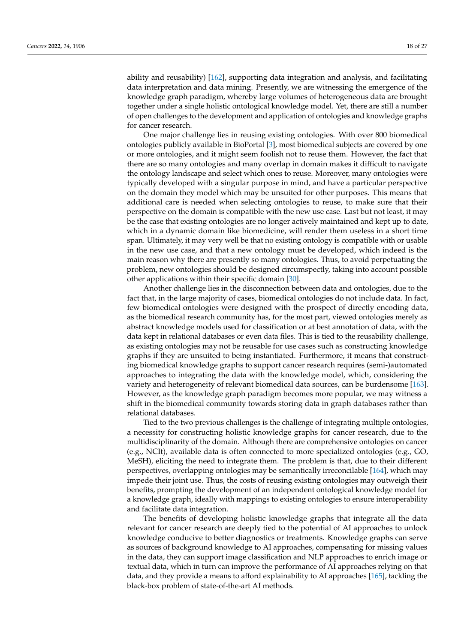ability and reusability) [\[162\]](#page-26-3), supporting data integration and analysis, and facilitating data interpretation and data mining. Presently, we are witnessing the emergence of the knowledge graph paradigm, whereby large volumes of heterogeneous data are brought together under a single holistic ontological knowledge model. Yet, there are still a number of open challenges to the development and application of ontologies and knowledge graphs for cancer research.

One major challenge lies in reusing existing ontologies. With over 800 biomedical ontologies publicly available in BioPortal [\[3\]](#page-20-2), most biomedical subjects are covered by one or more ontologies, and it might seem foolish not to reuse them. However, the fact that there are so many ontologies and many overlap in domain makes it difficult to navigate the ontology landscape and select which ones to reuse. Moreover, many ontologies were typically developed with a singular purpose in mind, and have a particular perspective on the domain they model which may be unsuited for other purposes. This means that additional care is needed when selecting ontologies to reuse, to make sure that their perspective on the domain is compatible with the new use case. Last but not least, it may be the case that existing ontologies are no longer actively maintained and kept up to date, which in a dynamic domain like biomedicine, will render them useless in a short time span. Ultimately, it may very well be that no existing ontology is compatible with or usable in the new use case, and that a new ontology must be developed, which indeed is the main reason why there are presently so many ontologies. Thus, to avoid perpetuating the problem, new ontologies should be designed circumspectly, taking into account possible other applications within their specific domain [\[30\]](#page-21-13).

Another challenge lies in the disconnection between data and ontologies, due to the fact that, in the large majority of cases, biomedical ontologies do not include data. In fact, few biomedical ontologies were designed with the prospect of directly encoding data, as the biomedical research community has, for the most part, viewed ontologies merely as abstract knowledge models used for classification or at best annotation of data, with the data kept in relational databases or even data files. This is tied to the reusability challenge, as existing ontologies may not be reusable for use cases such as constructing knowledge graphs if they are unsuited to being instantiated. Furthermore, it means that constructing biomedical knowledge graphs to support cancer research requires (semi-)automated approaches to integrating the data with the knowledge model, which, considering the variety and heterogeneity of relevant biomedical data sources, can be burdensome [\[163\]](#page-26-4). However, as the knowledge graph paradigm becomes more popular, we may witness a shift in the biomedical community towards storing data in graph databases rather than relational databases.

Tied to the two previous challenges is the challenge of integrating multiple ontologies, a necessity for constructing holistic knowledge graphs for cancer research, due to the multidisciplinarity of the domain. Although there are comprehensive ontologies on cancer (e.g., NCIt), available data is often connected to more specialized ontologies (e.g., GO, MeSH), eliciting the need to integrate them. The problem is that, due to their different perspectives, overlapping ontologies may be semantically irreconcilable [\[164\]](#page-26-5), which may impede their joint use. Thus, the costs of reusing existing ontologies may outweigh their benefits, prompting the development of an independent ontological knowledge model for a knowledge graph, ideally with mappings to existing ontologies to ensure interoperability and facilitate data integration.

The benefits of developing holistic knowledge graphs that integrate all the data relevant for cancer research are deeply tied to the potential of AI approaches to unlock knowledge conducive to better diagnostics or treatments. Knowledge graphs can serve as sources of background knowledge to AI approaches, compensating for missing values in the data, they can support image classification and NLP approaches to enrich image or textual data, which in turn can improve the performance of AI approaches relying on that data, and they provide a means to afford explainability to AI approaches [\[165\]](#page-26-6), tackling the black-box problem of state-of-the-art AI methods.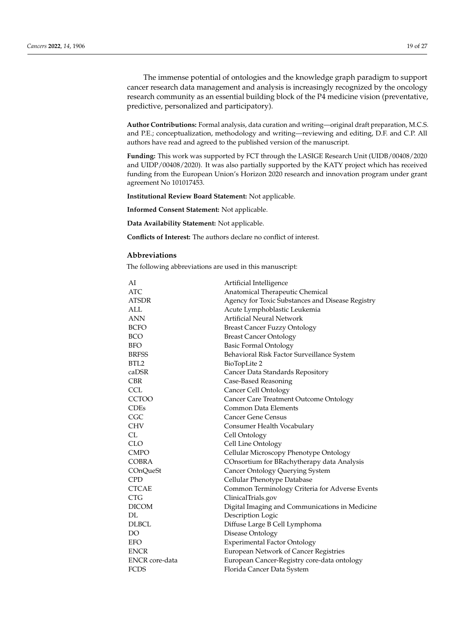The immense potential of ontologies and the knowledge graph paradigm to support cancer research data management and analysis is increasingly recognized by the oncology research community as an essential building block of the P4 medicine vision (preventative, predictive, personalized and participatory).

**Author Contributions:** Formal analysis, data curation and writing—original draft preparation, M.C.S. and P.E.; conceptualization, methodology and writing—reviewing and editing, D.F. and C.P. All authors have read and agreed to the published version of the manuscript.

**Funding:** This work was supported by FCT through the LASIGE Research Unit (UIDB/00408/2020 and UIDP/00408/2020). It was also partially supported by the KATY project which has received funding from the European Union's Horizon 2020 research and innovation program under grant agreement No 101017453.

**Institutional Review Board Statement:** Not applicable.

**Informed Consent Statement:** Not applicable.

**Data Availability Statement:** Not applicable.

**Conflicts of Interest:** The authors declare no conflict of interest.

# **Abbreviations**

The following abbreviations are used in this manuscript:

| AI             | Artificial Intelligence                          |
|----------------|--------------------------------------------------|
| ATC.           | Anatomical Therapeutic Chemical                  |
| <b>ATSDR</b>   | Agency for Toxic Substances and Disease Registry |
| ALL            | Acute Lymphoblastic Leukemia                     |
| ANN            | <b>Artificial Neural Network</b>                 |
| <b>BCFO</b>    | <b>Breast Cancer Fuzzy Ontology</b>              |
| <b>BCO</b>     | <b>Breast Cancer Ontology</b>                    |
| <b>BFO</b>     | <b>Basic Formal Ontology</b>                     |
| <b>BRFSS</b>   | Behavioral Risk Factor Surveillance System       |
| BTL2           | BioTopLite 2                                     |
| caDSR          | Cancer Data Standards Repository                 |
| <b>CBR</b>     | Case-Based Reasoning                             |
| <b>CCL</b>     | Cancer Cell Ontology                             |
| <b>CCTOO</b>   | Cancer Care Treatment Outcome Ontology           |
| <b>CDEs</b>    | Common Data Elements                             |
| CGC            | <b>Cancer Gene Census</b>                        |
| CHV            | Consumer Health Vocabulary                       |
| CL             | Cell Ontology                                    |
| <b>CLO</b>     | Cell Line Ontology                               |
| <b>CMPO</b>    | Cellular Microscopy Phenotype Ontology           |
| <b>COBRA</b>   | COnsortium for BRachytherapy data Analysis       |
| COnQueSt       | Cancer Ontology Querying System                  |
| <b>CPD</b>     | Cellular Phenotype Database                      |
| <b>CTCAE</b>   | Common Terminology Criteria for Adverse Events   |
| <b>CTG</b>     | ClinicalTrials.gov                               |
| <b>DICOM</b>   | Digital Imaging and Communications in Medicine   |
| DL             | Description Logic                                |
| <b>DLBCL</b>   | Diffuse Large B Cell Lymphoma                    |
| DO             | Disease Ontology                                 |
| <b>EFO</b>     | <b>Experimental Factor Ontology</b>              |
| <b>ENCR</b>    | European Network of Cancer Registries            |
| ENCR core-data | European Cancer-Registry core-data ontology      |
| <b>FCDS</b>    | Florida Cancer Data System                       |
|                |                                                  |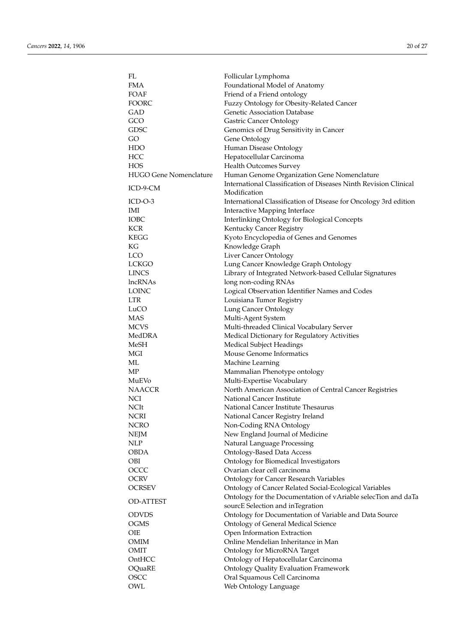| FL                            | Follicular Lymphoma                                                                               |
|-------------------------------|---------------------------------------------------------------------------------------------------|
| FMA                           | Foundational Model of Anatomy                                                                     |
| FOAF                          | Friend of a Friend ontology                                                                       |
| FOORC                         | Fuzzy Ontology for Obesity-Related Cancer                                                         |
| GAD                           | Genetic Association Database                                                                      |
| GCO                           | <b>Gastric Cancer Ontology</b>                                                                    |
| GDSC                          | Genomics of Drug Sensitivity in Cancer                                                            |
| GO.                           | Gene Ontology                                                                                     |
| <b>HDO</b>                    | Human Disease Ontology                                                                            |
| HCC                           | Hepatocellular Carcinoma                                                                          |
| HOS                           | <b>Health Outcomes Survey</b>                                                                     |
| <b>HUGO Gene Nomenclature</b> | Human Genome Organization Gene Nomenclature                                                       |
| ICD-9-CM                      | International Classification of Diseases Ninth Revision Clinical<br>Modification                  |
| ICD-O-3                       | International Classification of Disease for Oncology 3rd edition                                  |
| IMI                           |                                                                                                   |
| IOBC                          | Interactive Mapping Interface                                                                     |
|                               | Interlinking Ontology for Biological Concepts                                                     |
| KCR                           | Kentucky Cancer Registry                                                                          |
| KEGG                          | Kyoto Encyclopedia of Genes and Genomes                                                           |
| KG                            | Knowledge Graph                                                                                   |
| <b>LCO</b>                    | Liver Cancer Ontology                                                                             |
| LCKGO                         | Lung Cancer Knowledge Graph Ontology                                                              |
| <b>LINCS</b>                  | Library of Integrated Network-based Cellular Signatures                                           |
| lncRNAs                       | long non-coding RNAs                                                                              |
| LOINC                         | Logical Observation Identifier Names and Codes                                                    |
| <b>LTR</b>                    | Louisiana Tumor Registry                                                                          |
| LuCO                          | Lung Cancer Ontology                                                                              |
| <b>MAS</b>                    | Multi-Agent System                                                                                |
| <b>MCVS</b>                   | Multi-threaded Clinical Vocabulary Server                                                         |
| MedDRA                        | Medical Dictionary for Regulatory Activities                                                      |
| MeSH                          | <b>Medical Subject Headings</b>                                                                   |
| MGI                           | Mouse Genome Informatics                                                                          |
| ML                            | Machine Learning                                                                                  |
| МP                            | Mammalian Phenotype ontology                                                                      |
| MuEVo                         | Multi-Expertise Vocabulary                                                                        |
| NAACCR                        | North American Association of Central Cancer Registries                                           |
|                               |                                                                                                   |
| NCI                           | National Cancer Institute                                                                         |
| NCIt                          | National Cancer Institute Thesaurus                                                               |
| <b>NCRI</b>                   | National Cancer Registry Ireland                                                                  |
| <b>NCRO</b>                   | Non-Coding RNA Ontology                                                                           |
| NEJM                          | New England Journal of Medicine                                                                   |
| NLP                           | Natural Language Processing                                                                       |
| <b>OBDA</b>                   | <b>Ontology-Based Data Access</b>                                                                 |
| <b>OBI</b>                    | Ontology for Biomedical Investigators                                                             |
| OCCC                          | Ovarian clear cell carcinoma                                                                      |
| <b>OCRV</b>                   | <b>Ontology for Cancer Research Variables</b>                                                     |
| <b>OCRSEV</b>                 | Ontology of Cancer Related Social-Ecological Variables                                            |
| <b>OD-ATTEST</b>              | Ontology for the Documentation of vAriable selecTion and daTa<br>sourcE Selection and inTegration |
| <b>ODVDS</b>                  | Ontology for Documentation of Variable and Data Source                                            |
| <b>OGMS</b>                   | <b>Ontology of General Medical Science</b>                                                        |
| <b>OIE</b>                    |                                                                                                   |
|                               | Open Information Extraction                                                                       |
| <b>OMIM</b>                   | Online Mendelian Inheritance in Man                                                               |
| <b>OMIT</b>                   | Ontology for MicroRNA Target                                                                      |
| OntHCC                        | Ontology of Hepatocellular Carcinoma                                                              |
| OQuaRE                        | <b>Ontology Quality Evaluation Framework</b>                                                      |
| OSCC                          | Oral Squamous Cell Carcinoma                                                                      |
| OWL                           | Web Ontology Language                                                                             |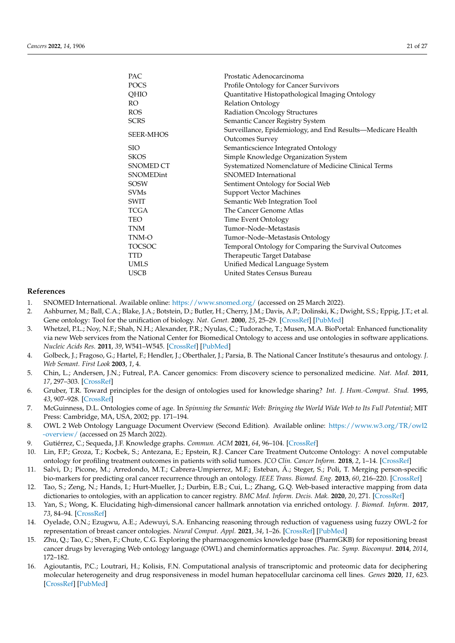| PAC.             | Prostatic Adenocarcinoma                                    |
|------------------|-------------------------------------------------------------|
| <b>POCS</b>      | Profile Ontology for Cancer Survivors                       |
| QHIO             | Quantitative Histopathological Imaging Ontology             |
| RO.              | <b>Relation Ontology</b>                                    |
| <b>ROS</b>       | <b>Radiation Oncology Structures</b>                        |
| <b>SCRS</b>      | Semantic Cancer Registry System                             |
| <b>SEER-MHOS</b> | Surveillance, Epidemiology, and End Results-Medicare Health |
|                  | <b>Outcomes Survey</b>                                      |
| <b>SIO</b>       | Semanticscience Integrated Ontology                         |
| <b>SKOS</b>      | Simple Knowledge Organization System                        |
| <b>SNOMED CT</b> | Systematized Nomenclature of Medicine Clinical Terms        |
| SNOMEDint        | SNOMED International                                        |
| <b>SOSW</b>      | Sentiment Ontology for Social Web                           |
| <b>SVMs</b>      | <b>Support Vector Machines</b>                              |
| <b>SWIT</b>      | Semantic Web Integration Tool                               |
| <b>TCGA</b>      | The Cancer Genome Atlas                                     |
| <b>TEO</b>       | Time Event Ontology                                         |
| <b>TNM</b>       | Tumor–Node–Metastasis                                       |
| TNM-O            | Tumor-Node-Metastasis Ontology                              |
| <b>TOCSOC</b>    | Temporal Ontology for Comparing the Survival Outcomes       |
| <b>TTD</b>       | Therapeutic Target Database                                 |
| <b>UMLS</b>      | Unified Medical Language System                             |
| <b>USCB</b>      | United States Census Bureau                                 |
|                  |                                                             |

#### **References**

- <span id="page-20-0"></span>1. SNOMED International. Available online: <https://www.snomed.org/> (accessed on 25 March 2022).
- <span id="page-20-1"></span>2. Ashburner, M.; Ball, C.A.; Blake, J.A.; Botstein, D.; Butler, H.; Cherry, J.M.; Davis, A.P.; Dolinski, K.; Dwight, S.S.; Eppig, J.T.; et al. Gene ontology: Tool for the unification of biology. *Nat. Genet.* **2000**, *25*, 25–29. [\[CrossRef\]](http://doi.org/10.1038/75556) [\[PubMed\]](http://www.ncbi.nlm.nih.gov/pubmed/10802651)
- <span id="page-20-2"></span>3. Whetzel, P.L.; Noy, N.F.; Shah, N.H.; Alexander, P.R.; Nyulas, C.; Tudorache, T.; Musen, M.A. BioPortal: Enhanced functionality via new Web services from the National Center for Biomedical Ontology to access and use ontologies in software applications. *Nucleic Acids Res.* **2011**, *39*, W541–W545. [\[CrossRef\]](http://dx.doi.org/10.1093/nar/gkr469) [\[PubMed\]](http://www.ncbi.nlm.nih.gov/pubmed/21672956)
- <span id="page-20-3"></span>4. Golbeck, J.; Fragoso, G.; Hartel, F.; Hendler, J.; Oberthaler, J.; Parsia, B. The National Cancer Institute's thesaurus and ontology. *J. Web Semant. First Look* **2003**, *1*, 4.
- <span id="page-20-4"></span>5. Chin, L.; Andersen, J.N.; Futreal, P.A. Cancer genomics: From discovery science to personalized medicine. *Nat. Med.* **2011**, *17*, 297–303. [\[CrossRef\]](http://dx.doi.org/10.1038/nm.2323)
- <span id="page-20-5"></span>6. Gruber, T.R. Toward principles for the design of ontologies used for knowledge sharing? *Int. J. Hum.-Comput. Stud.* **1995**, *43*, 907–928. [\[CrossRef\]](http://dx.doi.org/10.1006/ijhc.1995.1081)
- <span id="page-20-6"></span>7. McGuinness, D.L. Ontologies come of age. In *Spinning the Semantic Web: Bringing the World Wide Web to Its Full Potential*; MIT Press: Cambridge, MA, USA, 2002; pp. 171–194.
- <span id="page-20-7"></span>8. OWL 2 Web Ontology Language Document Overview (Second Edition). Available online: [https://www.w3.org/TR/owl2](https://www.w3.org/TR/owl2-overview/) [-overview/](https://www.w3.org/TR/owl2-overview/) (accessed on 25 March 2022).
- <span id="page-20-8"></span>9. Gutiérrez, C.; Sequeda, J.F. Knowledge graphs. *Commun. ACM* **2021**, *64*, 96–104. [\[CrossRef\]](http://dx.doi.org/10.1145/3418294)
- <span id="page-20-9"></span>10. Lin, F.P.; Groza, T.; Kocbek, S.; Antezana, E.; Epstein, R.J. Cancer Care Treatment Outcome Ontology: A novel computable ontology for profiling treatment outcomes in patients with solid tumors. *JCO Clin. Cancer Inform.* **2018**, *2*, 1–14. [\[CrossRef\]](http://dx.doi.org/10.1200/CCI.18.00026)
- <span id="page-20-10"></span>11. Salvi, D.; Picone, M.; Arredondo, M.T.; Cabrera-Umpierrez, M.F.; Esteban, Á.; Steger, S.; Poli, T. Merging person-specific bio-markers for predicting oral cancer recurrence through an ontology. *IEEE Trans. Biomed. Eng.* **2013**, *60*, 216–220. [\[CrossRef\]](http://dx.doi.org/10.1109/TBME.2012.2216879)
- <span id="page-20-11"></span>12. Tao, S.; Zeng, N.; Hands, I.; Hurt-Mueller, J.; Durbin, E.B.; Cui, L.; Zhang, G.Q. Web-based interactive mapping from data dictionaries to ontologies, with an application to cancer registry. *BMC Med. Inform. Decis. Mak.* **2020**, *20*, 271. [\[CrossRef\]](http://dx.doi.org/10.1186/s12911-020-01288-7)
- <span id="page-20-12"></span>13. Yan, S.; Wong, K. Elucidating high-dimensional cancer hallmark annotation via enriched ontology. *J. Biomed. Inform.* **2017**, *73*, 84–94. [\[CrossRef\]](http://dx.doi.org/10.1016/j.jbi.2017.07.011)
- <span id="page-20-13"></span>14. Oyelade, O.N.; Ezugwu, A.E.; Adewuyi, S.A. Enhancing reasoning through reduction of vagueness using fuzzy OWL-2 for representation of breast cancer ontologies. *Neural Comput. Appl.* **2021**, *34*, 1–26. [\[CrossRef\]](http://dx.doi.org/10.1007/s00521-021-06517-2) [\[PubMed\]](http://www.ncbi.nlm.nih.gov/pubmed/34642549)
- <span id="page-20-14"></span>15. Zhu, Q.; Tao, C.; Shen, F.; Chute, C.G. Exploring the pharmacogenomics knowledge base (PharmGKB) for repositioning breast cancer drugs by leveraging Web ontology language (OWL) and cheminformatics approaches. *Pac. Symp. Biocomput.* **2014**, *2014*, 172–182.
- <span id="page-20-15"></span>16. Agioutantis, P.C.; Loutrari, H.; Kolisis, F.N. Computational analysis of transcriptomic and proteomic data for deciphering molecular heterogeneity and drug responsiveness in model human hepatocellular carcinoma cell lines. *Genes* **2020**, *11*, 623. [\[CrossRef\]](http://dx.doi.org/10.3390/genes11060623) [\[PubMed\]](http://www.ncbi.nlm.nih.gov/pubmed/32517019)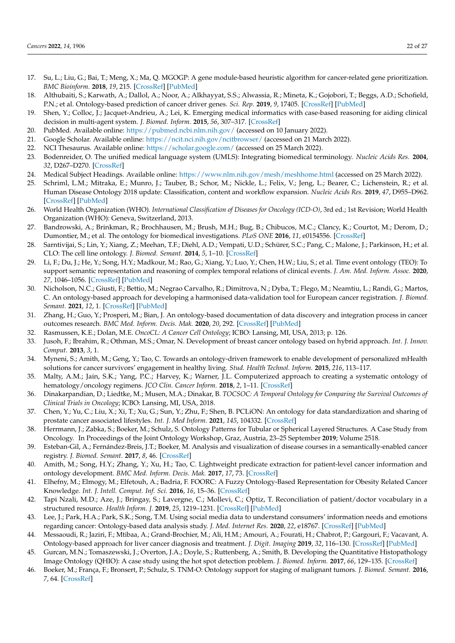- <span id="page-21-0"></span>17. Su, L.; Liu, G.; Bai, T.; Meng, X.; Ma, Q. MGOGP: A gene module-based heuristic algorithm for cancer-related gene prioritization. *BMC Bioinform.* **2018**, *19*, 215. [\[CrossRef\]](http://dx.doi.org/10.1186/s12859-018-2216-0) [\[PubMed\]](http://www.ncbi.nlm.nih.gov/pubmed/29871590)
- <span id="page-21-1"></span>18. Althubaiti, S.; Karwath, A.; Dallol, A.; Noor, A.; Alkhayyat, S.S.; Alwassia, R.; Mineta, K.; Gojobori, T.; Beggs, A.D.; Schofield, P.N.; et al. Ontology-based prediction of cancer driver genes. *Sci. Rep.* **2019**, *9*, 17405. [\[CrossRef\]](http://dx.doi.org/10.1038/s41598-019-53454-1) [\[PubMed\]](http://www.ncbi.nlm.nih.gov/pubmed/31757986)
- <span id="page-21-2"></span>19. Shen, Y.; Colloc, J.; Jacquet-Andrieu, A.; Lei, K. Emerging medical informatics with case-based reasoning for aiding clinical decision in multi-agent system. *J. Biomed. Inform.* **2015**, *56*, 307–317. [\[CrossRef\]](http://dx.doi.org/10.1016/j.jbi.2015.06.012)
- <span id="page-21-3"></span>20. PubMed. Available online: <https://pubmed.ncbi.nlm.nih.gov/> (accessed on 10 January 2022).
- <span id="page-21-4"></span>21. Google Scholar. Available online: <https://ncit.nci.nih.gov/ncitbrowser/> (accessed on 21 March 2022).
- <span id="page-21-5"></span>22. NCI Thesaurus. Available online: <https://scholar.google.com/> (accessed on 25 March 2022).
- <span id="page-21-6"></span>23. Bodenreider, O. The unified medical language system (UMLS): Integrating biomedical terminology. *Nucleic Acids Res.* **2004**, *32*, D267–D270. [\[CrossRef\]](http://dx.doi.org/10.1093/nar/gkh061)
- <span id="page-21-7"></span>24. Medical Subject Headings. Available online: <https://www.nlm.nih.gov/mesh/meshhome.html> (accessed on 25 March 2022).
- <span id="page-21-8"></span>25. Schriml, L.M.; Mitraka, E.; Munro, J.; Tauber, B.; Schor, M.; Nickle, L.; Felix, V.; Jeng, L.; Bearer, C.; Lichenstein, R.; et al. Human Disease Ontology 2018 update: Classification, content and workflow expansion. *Nucleic Acids Res.* **2019**, *47*, D955–D962. [\[CrossRef\]](http://dx.doi.org/10.1093/nar/gky1032) [\[PubMed\]](http://www.ncbi.nlm.nih.gov/pubmed/30407550)
- <span id="page-21-9"></span>26. World Health Organization (WHO). *International Classification of Diseases for Oncology (ICD-O)*, 3rd ed.; 1st Revision; World Health Organization (WHO): Geneva, Switzerland, 2013.
- <span id="page-21-10"></span>27. Bandrowski, A.; Brinkman, R.; Brochhausen, M.; Brush, M.H.; Bug, B.; Chibucos, M.C.; Clancy, K.; Courtot, M.; Derom, D.; Dumontier, M.; et al. The ontology for biomedical investigations. *PLoS ONE* **2016**, *11*, e0154556. [\[CrossRef\]](http://dx.doi.org/10.1371/journal.pone.0154556)
- <span id="page-21-11"></span>28. Sarntivijai, S.; Lin, Y.; Xiang, Z.; Meehan, T.F.; Diehl, A.D.; Vempati, U.D.; Schürer, S.C.; Pang, C.; Malone, J.; Parkinson, H.; et al. CLO: The cell line ontology. *J. Biomed. Semant.* **2014**, *5*, 1–10. [\[CrossRef\]](http://dx.doi.org/10.1186/2041-1480-5-37)
- <span id="page-21-12"></span>29. Li, F.; Du, J.; He, Y.; Song, H.Y.; Madkour, M.; Rao, G.; Xiang, Y.; Luo, Y.; Chen, H.W.; Liu, S.; et al. Time event ontology (TEO): To support semantic representation and reasoning of complex temporal relations of clinical events. *J. Am. Med. Inform. Assoc.* **2020**, *27*, 1046–1056. [\[CrossRef\]](http://dx.doi.org/10.1093/jamia/ocaa058) [\[PubMed\]](http://www.ncbi.nlm.nih.gov/pubmed/32626903)
- <span id="page-21-13"></span>30. Nicholson, N.C.; Giusti, F.; Bettio, M.; Negrao Carvalho, R.; Dimitrova, N.; Dyba, T.; Flego, M.; Neamtiu, L.; Randi, G.; Martos, C. An ontology-based approach for developing a harmonised data-validation tool for European cancer registration. *J. Biomed. Semant.* **2021**, *12*, 1. [\[CrossRef\]](http://dx.doi.org/10.1186/s13326-020-00233-x) [\[PubMed\]](http://www.ncbi.nlm.nih.gov/pubmed/33407816)
- <span id="page-21-14"></span>31. Zhang, H.; Guo, Y.; Prosperi, M.; Bian, J. An ontology-based documentation of data discovery and integration process in cancer outcomes research. *BMC Med. Inform. Decis. Mak.* **2020**, *20*, 292. [\[CrossRef\]](http://dx.doi.org/10.1186/s12911-020-01270-3) [\[PubMed\]](http://www.ncbi.nlm.nih.gov/pubmed/33317497)
- <span id="page-21-15"></span>32. Rasmussen, K.E.; Dolan, M.E. *OncoCL: A Cancer Cell Ontology*; ICBO: Lansing, MI, USA, 2013; p. 126.
- <span id="page-21-16"></span>33. Jusoh, F.; Ibrahim, R.; Othman, M.S.; Omar, N. Development of breast cancer ontology based on hybrid approach. *Int. J. Innov. Comput.* **2013**, *3*, 1.
- <span id="page-21-17"></span>34. Myneni, S.; Amith, M.; Geng, Y.; Tao, C. Towards an ontology-driven framework to enable development of personalized mHealth solutions for cancer survivors' engagement in healthy living. *Stud. Health Technol. Inform.* **2015**, *216*, 113–117.
- <span id="page-21-18"></span>35. Malty, A.M.; Jain, S.K.; Yang, P.C.; Harvey, K.; Warner, J.L. Computerized approach to creating a systematic ontology of hematology/oncology regimens. *JCO Clin. Cancer Inform.* **2018**, *2*, 1–11. [\[CrossRef\]](http://dx.doi.org/10.1200/CCI.17.00142)
- <span id="page-21-19"></span>36. Dinakarpandian, D.; Liedtke, M.; Musen, M.A.; Dinakar, B. *TOCSOC: A Temporal Ontology for Comparing the Survival Outcomes of Clinical Trials in Oncology*; ICBO: Lansing, MI, USA, 2018.
- <span id="page-21-20"></span>37. Chen, Y.; Yu, C.; Liu, X.; Xi, T.; Xu, G.; Sun, Y.; Zhu, F.; Shen, B. PCLiON: An ontology for data standardization and sharing of prostate cancer associated lifestyles. *Int. J. Med Inform.* **2021**, *145*, 104332. [\[CrossRef\]](http://dx.doi.org/10.1016/j.ijmedinf.2020.104332)
- <span id="page-21-21"></span>38. Herrmann, J.; Zabka, S.; Boeker, M.; Schulz, S. Ontology Patterns for Tubular or Spherical Layered Structures. A Case Study from Oncology. In Proceedings of the Joint Ontology Workshop, Graz, Austria, 23–25 September **2019**; Volume 2518.
- <span id="page-21-22"></span>39. Esteban-Gil, A.; Fernández-Breis, J.T.; Boeker, M. Analysis and visualization of disease courses in a semantically-enabled cancer registry. *J. Biomed. Semant.* **2017**, *8*, 46. [\[CrossRef\]](http://dx.doi.org/10.1186/s13326-017-0154-9)
- <span id="page-21-23"></span>40. Amith, M.; Song, H.Y.; Zhang, Y.; Xu, H.; Tao, C. Lightweight predicate extraction for patient-level cancer information and ontology development. *BMC Med. Inform. Decis. Mak.* **2017**, *17*, 73. [\[CrossRef\]](http://dx.doi.org/10.1186/s12911-017-0465-x)
- <span id="page-21-24"></span>41. Elhefny, M.; Elmogy, M.; Elfetouh, A.; Badria, F. FOORC: A Fuzzy Ontology-Based Representation for Obesity Related Cancer Knowledge. *Int. J. Intell. Comput. Inf. Sci.* **2016**, *16*, 15–36. [\[CrossRef\]](http://dx.doi.org/10.21608/ijicis.2016.19833)
- <span id="page-21-25"></span>42. Tapi Nzali, M.D.; Aze, J.; Bringay, S.; Lavergne, C.; Mollevi, C.; Optiz, T. Reconciliation of patient/doctor vocabulary in a structured resource. *Health Inform. J.* **2019**, *25*, 1219–1231. [\[CrossRef\]](http://dx.doi.org/10.1177/1460458217751014) [\[PubMed\]](http://www.ncbi.nlm.nih.gov/pubmed/29332530)
- <span id="page-21-26"></span>43. Lee, J.; Park, H.A.; Park, S.K.; Song, T.M. Using social media data to understand consumers' information needs and emotions regarding cancer: Ontology-based data analysis study. *J. Med. Internet Res.* **2020**, *22*, e18767. [\[CrossRef\]](http://dx.doi.org/10.2196/18767) [\[PubMed\]](http://www.ncbi.nlm.nih.gov/pubmed/33284127)
- <span id="page-21-27"></span>44. Messaoudi, R.; Jaziri, F.; Mtibaa, A.; Grand-Brochier, M.; Ali, H.M.; Amouri, A.; Fourati, H.; Chabrot, P.; Gargouri, F.; Vacavant, A. Ontology-based approach for liver cancer diagnosis and treatment. *J. Digit. Imaging* **2019**, *32*, 116–130. [\[CrossRef\]](http://dx.doi.org/10.1007/s10278-018-0115-6) [\[PubMed\]](http://www.ncbi.nlm.nih.gov/pubmed/30066122)
- <span id="page-21-28"></span>45. Gurcan, M.N.; Tomaszewski, J.; Overton, J.A.; Doyle, S.; Ruttenberg, A.; Smith, B. Developing the Quantitative Histopathology Image Ontology (QHIO): A case study using the hot spot detection problem. *J. Biomed. Inform.* **2017**, *66*, 129–135. [\[CrossRef\]](http://dx.doi.org/10.1016/j.jbi.2016.12.006)
- <span id="page-21-29"></span>46. Boeker, M.; França, F.; Bronsert, P.; Schulz, S. TNM-O: Ontology support for staging of malignant tumors. *J. Biomed. Semant.* **2016**, *7*, 64. [\[CrossRef\]](http://dx.doi.org/10.1186/s13326-016-0106-9)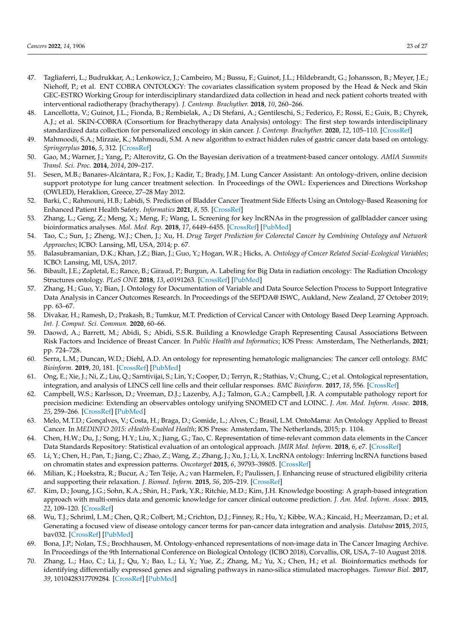- <span id="page-22-0"></span>47. Tagliaferri, L.; Budrukkar, A.; Lenkowicz, J.; Cambeiro, M.; Bussu, F.; Guinot, J.L.; Hildebrandt, G.; Johansson, B.; Meyer, J.E.; Niehoff, P.; et al. ENT COBRA ONTOLOGY: The covariates classification system proposed by the Head & Neck and Skin GEC-ESTRO Working Group for interdisciplinary standardized data collection in head and neck patient cohorts treated with interventional radiotherapy (brachytherapy). *J. Contemp. Brachyther.* **2018**, *10*, 260–266.
- <span id="page-22-1"></span>48. Lancellotta, V.; Guinot, J.L.; Fionda, B.; Rembielak, A.; Di Stefani, A.; Gentileschi, S.; Federico, F.; Rossi, E.; Guix, B.; Chyrek, A.J.; et al. SKIN-COBRA (Consortium for Brachytherapy data Analysis) ontology: The first step towards interdisciplinary standardized data collection for personalized oncology in skin cancer. *J. Contemp. Brachyther.* **2020**, *12*, 105–110. [\[CrossRef\]](http://dx.doi.org/10.5114/jcb.2020.94579)
- <span id="page-22-2"></span>49. Mahmoodi, S.A.; Mirzaie, K.; Mahmoudi, S.M. A new algorithm to extract hidden rules of gastric cancer data based on ontology. *Springerplus* **2016**, *5*, 312. [\[CrossRef\]](http://dx.doi.org/10.1186/s40064-016-1943-9)
- <span id="page-22-3"></span>50. Gao, M.; Warner, J.; Yang, P.; Alterovitz, G. On the Bayesian derivation of a treatment-based cancer ontology. *AMIA Summits Transl. Sci. Proc.* **2014**, *2014*, 209–217.
- <span id="page-22-4"></span>51. Sesen, M.B.; Banares-Alcántara, R.; Fox, J.; Kadir, T.; Brady, J.M. Lung Cancer Assistant: An ontology-driven, online decision support prototype for lung cancer treatment selection. In Proceedings of the OWL: Experiences and Directions Workshop (OWLED), Heraklion, Greece, 27–28 May 2012.
- <span id="page-22-5"></span>52. Barki, C.; Rahmouni, H.B.; Labidi, S. Prediction of Bladder Cancer Treatment Side Effects Using an Ontology-Based Reasoning for Enhanced Patient Health Safety. *Informatics* **2021**, *8*, 55. [\[CrossRef\]](http://dx.doi.org/10.3390/informatics8030055)
- <span id="page-22-6"></span>53. Zhang, L.; Geng, Z.; Meng, X.; Meng, F.; Wang, L. Screening for key lncRNAs in the progression of gallbladder cancer using bioinformatics analyses. *Mol. Med. Rep.* **2018**, *17*, 6449–6455. [\[CrossRef\]](http://dx.doi.org/10.3892/mmr.2018.8655) [\[PubMed\]](http://www.ncbi.nlm.nih.gov/pubmed/29512694)
- <span id="page-22-7"></span>54. Tao, C.; Sun, J.; Zheng, W.J.; Chen, J.; Xu, H. *Drug Target Prediction for Colorectal Cancer by Combining Ontology and Network Approaches*; ICBO: Lansing, MI, USA, 2014; p. 67.
- <span id="page-22-8"></span>55. Balasubramanian, D.K.; Khan, J.Z.; Bian, J.; Guo, Y.; Hogan, W.R.; Hicks, A. *Ontology of Cancer Related Social-Ecological Variables*; ICBO: Lansing, MI, USA, 2017.
- <span id="page-22-9"></span>56. Bibault, J.E.; Zapletal, E.; Rance, B.; Giraud, P.; Burgun, A. Labeling for Big Data in radiation oncology: The Radiation Oncology Structures ontology. *PLoS ONE* **2018**, *13*, e0191263. [\[CrossRef\]](http://dx.doi.org/10.1371/journal.pone.0191263) [\[PubMed\]](http://www.ncbi.nlm.nih.gov/pubmed/29351341)
- <span id="page-22-10"></span>57. Zhang, H.; Guo, Y.; Bian, J. Ontology for Documentation of Variable and Data Source Selection Process to Support Integrative Data Analysis in Cancer Outcomes Research. In Proceedings of the SEPDA@ ISWC, Aukland, New Zealand, 27 October 2019; pp. 63–67.
- <span id="page-22-11"></span>58. Divakar, H.; Ramesh, D.; Prakash, B.; Tumkur, M.T. Prediction of Cervical Cancer with Ontology Based Deep Learning Approach. *Int. J. Comput. Sci. Commun.* **2020**, 60–66.
- <span id="page-22-12"></span>59. Daowd, A.; Barrett, M.; Abidi, S.; Abidi, S.S.R. Building a Knowledge Graph Representing Causal Associations Between Risk Factors and Incidence of Breast Cancer. In *Public Health and Informatics*; IOS Press: Amsterdam, The Netherlands, **2021**; pp. 724–728.
- <span id="page-22-13"></span>60. Serra, L.M.; Duncan, W.D.; Diehl, A.D. An ontology for representing hematologic malignancies: The cancer cell ontology. *BMC Bioinform.* **2019**, *20*, 181. [\[CrossRef\]](http://dx.doi.org/10.1186/s12859-019-2722-8) [\[PubMed\]](http://www.ncbi.nlm.nih.gov/pubmed/31272372)
- <span id="page-22-14"></span>61. Ong, E.; Xie, J.; Ni, Z.; Liu, Q.; Sarntivijai, S.; Lin, Y.; Cooper, D.; Terryn, R.; Stathias, V.; Chung, C.; et al. Ontological representation, integration, and analysis of LINCS cell line cells and their cellular responses. *BMC Bioinform.* **2017**, *18*, 556. [\[CrossRef\]](http://dx.doi.org/10.1186/s12859-017-1981-5)
- <span id="page-22-15"></span>62. Campbell, W.S.; Karlsson, D.; Vreeman, D.J.; Lazenby, A.J.; Talmon, G.A.; Campbell, J.R. A computable pathology report for precision medicine: Extending an observables ontology unifying SNOMED CT and LOINC. *J. Am. Med. Inform. Assoc.* **2018**, *25*, 259–266. [\[CrossRef\]](http://dx.doi.org/10.1093/jamia/ocx097) [\[PubMed\]](http://www.ncbi.nlm.nih.gov/pubmed/29024958)
- <span id="page-22-16"></span>63. Melo, M.T.D.; Gonçalves, V.; Costa, H.; Braga, D.; Gomide, L.; Alves, C.; Brasil, L.M. OntoMama: An Ontology Applied to Breast Cancer. In *MEDINFO 2015: eHealth-Enabled Health*; IOS Press: Amsterdam, The Netherlands, 2015; p. 1104.
- <span id="page-22-17"></span>64. Chen, H.W.; Du, J.; Song, H.Y.; Liu, X.; Jiang, G.; Tao, C. Representation of time-relevant common data elements in the Cancer Data Standards Repository: Statistical evaluation of an ontological approach. *JMIR Med. Inform.* **2018**, *6*, e7. [\[CrossRef\]](http://dx.doi.org/10.2196/medinform.8175)
- <span id="page-22-18"></span>65. Li, Y.; Chen, H.; Pan, T.; Jiang, C.; Zhao, Z.; Wang, Z.; Zhang, J.; Xu, J.; Li, X. LncRNA ontology: Inferring lncRNA functions based on chromatin states and expression patterns. *Oncotarget* **2015**, *6*, 39793–39805. [\[CrossRef\]](http://dx.doi.org/10.18632/oncotarget.5794)
- <span id="page-22-19"></span>66. Milian, K.; Hoekstra, R.; Bucur, A.; Ten Teije, A.; van Harmelen, F.; Paulissen, J. Enhancing reuse of structured eligibility criteria and supporting their relaxation. *J. Biomed. Inform.* **2015**, *56*, 205–219. [\[CrossRef\]](http://dx.doi.org/10.1016/j.jbi.2015.05.005)
- <span id="page-22-20"></span>67. Kim, D.; Joung, J.G.; Sohn, K.A.; Shin, H.; Park, Y.R.; Ritchie, M.D.; Kim, J.H. Knowledge boosting: A graph-based integration approach with multi-omics data and genomic knowledge for cancer clinical outcome prediction. *J. Am. Med. Inform. Assoc.* **2015**, *22*, 109–120. [\[CrossRef\]](http://dx.doi.org/10.1136/amiajnl-2013-002481)
- <span id="page-22-21"></span>68. Wu, T.J.; Schriml, L.M.; Chen, Q.R.; Colbert, M.; Crichton, D.J.; Finney, R.; Hu, Y.; Kibbe, W.A.; Kincaid, H.; Meerzaman, D.; et al. Generating a focused view of disease ontology cancer terms for pan-cancer data integration and analysis. *Database* **2015**, *2015*, bav032. [\[CrossRef\]](http://dx.doi.org/10.1093/database/bav032) [\[PubMed\]](http://www.ncbi.nlm.nih.gov/pubmed/25841438)
- <span id="page-22-22"></span>69. Bona, J.P.; Nolan, T.S.; Brochhausen, M. Ontology-enhanced representations of non-image data in The Cancer Imaging Archive. In Proceedings of the 9th International Conference on Biological Ontology (ICBO 2018), Corvallis, OR, USA, 7–10 August 2018.
- <span id="page-22-23"></span>70. Zhang, L.; Hao, C.; Li, J.; Qu, Y.; Bao, L.; Li, Y.; Yue, Z.; Zhang, M.; Yu, X.; Chen, H.; et al. Bioinformatics methods for identifying differentially expressed genes and signaling pathways in nano-silica stimulated macrophages. *Tumour Biol.* **2017**, *39*, 1010428317709284. [\[CrossRef\]](http://dx.doi.org/10.1177/1010428317709284) [\[PubMed\]](http://www.ncbi.nlm.nih.gov/pubmed/28653889)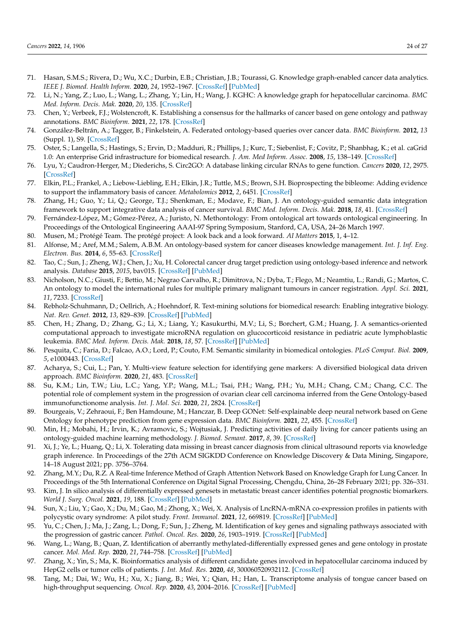- <span id="page-23-0"></span>71. Hasan, S.M.S.; Rivera, D.; Wu, X.C.; Durbin, E.B.; Christian, J.B.; Tourassi, G. Knowledge graph-enabled cancer data analytics. *IEEE J. Biomed. Health Inform.* **2020**, *24*, 1952–1967. [\[CrossRef\]](http://dx.doi.org/10.1109/JBHI.2020.2990797) [\[PubMed\]](http://www.ncbi.nlm.nih.gov/pubmed/32386166)
- <span id="page-23-1"></span>72. Li, N.; Yang, Z.; Luo, L.; Wang, L.; Zhang, Y.; Lin, H.; Wang, J. KGHC: A knowledge graph for hepatocellular carcinoma. *BMC Med. Inform. Decis. Mak.* **2020**, *20*, 135. [\[CrossRef\]](http://dx.doi.org/10.1186/s12911-020-1112-5)
- <span id="page-23-2"></span>73. Chen, Y.; Verbeek, F.J.; Wolstencroft, K. Establishing a consensus for the hallmarks of cancer based on gene ontology and pathway annotations. *BMC Bioinform.* **2021**, *22*, 178. [\[CrossRef\]](http://dx.doi.org/10.1186/s12859-021-04105-8)
- <span id="page-23-3"></span>74. González-Beltrán, A.; Tagger, B.; Finkelstein, A. Federated ontology-based queries over cancer data. *BMC Bioinform.* **2012**, *13* (Suppl. 1), S9. [\[CrossRef\]](http://dx.doi.org/10.1186/1471-2105-13-S1-S9)
- <span id="page-23-4"></span>75. Oster, S.; Langella, S.; Hastings, S.; Ervin, D.; Madduri, R.; Phillips, J.; Kurc, T.; Siebenlist, F.; Covitz, P.; Shanbhag, K.; et al. caGrid 1.0: An enterprise Grid infrastructure for biomedical research. *J. Am. Med Inform. Assoc.* **2008**, *15*, 138–149. [\[CrossRef\]](http://dx.doi.org/10.1197/jamia.M2522)
- <span id="page-23-5"></span>76. Lyu, Y.; Caudron-Herger, M.; Diederichs, S. Circ2GO: A database linking circular RNAs to gene function. *Cancers* **2020**, *12*, 2975. [\[CrossRef\]](http://dx.doi.org/10.3390/cancers12102975)
- <span id="page-23-6"></span>77. Elkin, P.L.; Frankel, A.; Liebow-Liebling, E.H.; Elkin, J.R.; Tuttle, M.S.; Brown, S.H. Bioprospecting the bibleome: Adding evidence to support the inflammatory basis of cancer. *Metabolomics* **2012**, *2*, 6451. [\[CrossRef\]](http://dx.doi.org/10.4172/2153-0769.1000112)
- <span id="page-23-7"></span>78. Zhang, H.; Guo, Y.; Li, Q.; George, T.J.; Shenkman, E.; Modave, F.; Bian, J. An ontology-guided semantic data integration framework to support integrative data analysis of cancer survival. *BMC Med. Inform. Decis. Mak.* **2018**, *18*, 41. [\[CrossRef\]](http://dx.doi.org/10.1186/s12911-018-0636-4)
- <span id="page-23-8"></span>79. Fernández-López, M.; Gómez-Pérez, A.; Juristo, N. Methontology: From ontological art towards ontological engineering. In Proceedings of the Ontological Engineering AAAI-97 Spring Symposium, Stanford, CA, USA, 24–26 March 1997.
- <span id="page-23-9"></span>80. Musen, M.; Protégé Team. The protégé project: A look back and a look forward. *AI Matters* **2015**, 1, 4–12.
- <span id="page-23-10"></span>81. Alfonse, M.; Aref, M.M.; Salem, A.B.M. An ontology-based system for cancer diseases knowledge management. *Int. J. Inf. Eng. Electron. Bus.* **2014**, *6*, 55–63. [\[CrossRef\]](http://dx.doi.org/10.5815/ijieeb.2014.06.07)
- <span id="page-23-11"></span>82. Tao, C.; Sun, J.; Zheng, W.J.; Chen, J.; Xu, H. Colorectal cancer drug target prediction using ontology-based inference and network analysis. *Database* **2015**, *2015*, bav015. [\[CrossRef\]](http://dx.doi.org/10.1093/database/bav015) [\[PubMed\]](http://www.ncbi.nlm.nih.gov/pubmed/25818893)
- <span id="page-23-12"></span>83. Nicholson, N.C.; Giusti, F.; Bettio, M.; Negrao Carvalho, R.; Dimitrova, N.; Dyba, T.; Flego, M.; Neamtiu, L.; Randi, G.; Martos, C. An ontology to model the international rules for multiple primary malignant tumours in cancer registration. *Appl. Sci.* **2021**, *11*, 7233. [\[CrossRef\]](http://dx.doi.org/10.3390/app11167233)
- <span id="page-23-13"></span>84. Rebholz-Schuhmann, D.; Oellrich, A.; Hoehndorf, R. Text-mining solutions for biomedical research: Enabling integrative biology. *Nat. Rev. Genet.* **2012**, *13*, 829–839. [\[CrossRef\]](http://dx.doi.org/10.1038/nrg3337) [\[PubMed\]](http://www.ncbi.nlm.nih.gov/pubmed/23150036)
- <span id="page-23-14"></span>85. Chen, H.; Zhang, D.; Zhang, G.; Li, X.; Liang, Y.; Kasukurthi, M.V.; Li, S.; Borchert, G.M.; Huang, J. A semantics-oriented computational approach to investigate microRNA regulation on glucocorticoid resistance in pediatric acute lymphoblastic leukemia. *BMC Med. Inform. Decis. Mak.* **2018**, *18*, 57. [\[CrossRef\]](http://dx.doi.org/10.1186/s12911-018-0637-3) [\[PubMed\]](http://www.ncbi.nlm.nih.gov/pubmed/30066657)
- <span id="page-23-15"></span>86. Pesquita, C.; Faria, D.; Falcao, A.O.; Lord, P.; Couto, F.M. Semantic similarity in biomedical ontologies. *PLoS Comput. Biol.* **2009**, *5*, e1000443. [\[CrossRef\]](http://dx.doi.org/10.1371/journal.pcbi.1000443)
- <span id="page-23-16"></span>87. Acharya, S.; Cui, L.; Pan, Y. Multi-view feature selection for identifying gene markers: A diversified biological data driven approach. *BMC Bioinform.* **2020**, *21*, 483. [\[CrossRef\]](http://dx.doi.org/10.1186/s12859-020-03810-0)
- <span id="page-23-17"></span>88. Su, K.M.; Lin, T.W.; Liu, L.C.; Yang, Y.P.; Wang, M.L.; Tsai, P.H.; Wang, P.H.; Yu, M.H.; Chang, C.M.; Chang, C.C. The potential role of complement system in the progression of ovarian clear cell carcinoma inferred from the Gene Ontology-based immunofunctionome analysis. *Int. J. Mol. Sci.* **2020**, *21*, 2824. [\[CrossRef\]](http://dx.doi.org/10.3390/ijms21082824)
- <span id="page-23-18"></span>89. Bourgeais, V.; Zehraoui, F.; Ben Hamdoune, M.; Hanczar, B. Deep GONet: Self-explainable deep neural network based on Gene Ontology for phenotype prediction from gene expression data. *BMC Bioinform.* **2021**, *22*, 455. [\[CrossRef\]](http://dx.doi.org/10.1186/s12859-021-04370-7)
- <span id="page-23-19"></span>90. Min, H.; Mobahi, H.; Irvin, K.; Avramovic, S.; Wojtusiak, J. Predicting activities of daily living for cancer patients using an ontology-guided machine learning methodology. *J. Biomed. Semant.* **2017**, *8*, 39. [\[CrossRef\]](http://dx.doi.org/10.1186/s13326-017-0149-6)
- <span id="page-23-20"></span>91. Xi, J.; Ye, L.; Huang, Q.; Li, X. Tolerating data missing in breast cancer diagnosis from clinical ultrasound reports via knowledge graph inference. In Proceedings of the 27th ACM SIGKDD Conference on Knowledge Discovery & Data Mining, Singapore, 14–18 August 2021; pp. 3756–3764.
- <span id="page-23-21"></span>92. Zhang, M.Y.; Du, R.Z. A Real-time Inference Method of Graph Attention Network Based on Knowledge Graph for Lung Cancer. In Proceedings of the 5th International Conference on Digital Signal Processing, Chengdu, China, 26–28 February 2021; pp. 326–331.
- <span id="page-23-22"></span>93. Kim, J. In silico analysis of differentially expressed genesets in metastatic breast cancer identifies potential prognostic biomarkers. *World J. Surg. Oncol.* **2021**, *19*, 188. [\[CrossRef\]](http://dx.doi.org/10.1186/s12957-021-02301-7) [\[PubMed\]](http://www.ncbi.nlm.nih.gov/pubmed/34172056)
- 94. Sun, X.; Liu, Y.; Gao, X.; Du, M.; Gao, M.; Zhong, X.; Wei, X. Analysis of LncRNA-mRNA co-expression profiles in patients with polycystic ovary syndrome: A pilot study. *Front. Immunol.* **2021**, *12*, 669819. [\[CrossRef\]](http://dx.doi.org/10.3389/fimmu.2021.669819) [\[PubMed\]](http://www.ncbi.nlm.nih.gov/pubmed/33936113)
- 95. Yu, C.; Chen, J.; Ma, J.; Zang, L.; Dong, F.; Sun, J.; Zheng, M. Identification of key genes and signaling pathways associated with the progression of gastric cancer. *Pathol. Oncol. Res.* **2020**, *26*, 1903–1919. [\[CrossRef\]](http://dx.doi.org/10.1007/s12253-019-00781-3) [\[PubMed\]](http://www.ncbi.nlm.nih.gov/pubmed/31848941)
- 96. Wang, L.; Wang, B.; Quan, Z. Identification of aberrantly methylated-differentially expressed genes and gene ontology in prostate cancer. *Mol. Med. Rep.* **2020**, *21*, 744–758. [\[CrossRef\]](http://dx.doi.org/10.3892/mmr.2019.10876) [\[PubMed\]](http://www.ncbi.nlm.nih.gov/pubmed/31974616)
- 97. Zhang, X.; Yin, S.; Ma, K. Bioinformatics analysis of different candidate genes involved in hepatocellular carcinoma induced by HepG2 cells or tumor cells of patients. *J. Int. Med. Res.* **2020**, *48*, 300060520932112. [\[CrossRef\]](http://dx.doi.org/10.1177/0300060520932112)
- 98. Tang, M.; Dai, W.; Wu, H.; Xu, X.; Jiang, B.; Wei, Y.; Qian, H.; Han, L. Transcriptome analysis of tongue cancer based on high-throughput sequencing. *Oncol. Rep.* **2020**, *43*, 2004–2016. [\[CrossRef\]](http://dx.doi.org/10.3892/or.2020.7560) [\[PubMed\]](http://www.ncbi.nlm.nih.gov/pubmed/32236620)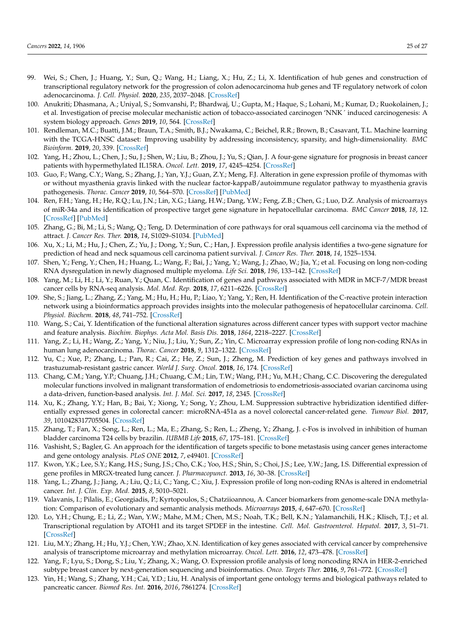- 99. Wei, S.; Chen, J.; Huang, Y.; Sun, Q.; Wang, H.; Liang, X.; Hu, Z.; Li, X. Identification of hub genes and construction of transcriptional regulatory network for the progression of colon adenocarcinoma hub genes and TF regulatory network of colon adenocarcinoma. *J. Cell. Physiol.* **2020**, *235*, 2037–2048. [\[CrossRef\]](http://dx.doi.org/10.1002/jcp.29067)
- 100. Anukriti; Dhasmana, A.; Uniyal, S.; Somvanshi, P.; Bhardwaj, U.; Gupta, M.; Haque, S.; Lohani, M.; Kumar, D.; Ruokolainen, J.; et al. Investigation of precise molecular mechanistic action of tobacco-associated carcinogen 'NNK´ induced carcinogenesis: A system biology approach. *Genes* **2019**, *10*, 564. [\[CrossRef\]](http://dx.doi.org/10.3390/genes10080564)
- 101. Rendleman, M.C.; Buatti, J.M.; Braun, T.A.; Smith, B.J.; Nwakama, C.; Beichel, R.R.; Brown, B.; Casavant, T.L. Machine learning with the TCGA-HNSC dataset: Improving usability by addressing inconsistency, sparsity, and high-dimensionality. *BMC Bioinform.* **2019**, *20*, 339. [\[CrossRef\]](http://dx.doi.org/10.1186/s12859-019-2929-8)
- 102. Yang, H.; Zhou, L.; Chen, J.; Su, J.; Shen, W.; Liu, B.; Zhou, J.; Yu, S.; Qian, J. A four-gene signature for prognosis in breast cancer patients with hypermethylated IL15RA. *Oncol. Lett.* **2019**, *17*, 4245–4254. [\[CrossRef\]](http://dx.doi.org/10.3892/ol.2019.10137)
- 103. Guo, F.; Wang, C.Y.; Wang, S.; Zhang, J.; Yan, Y.J.; Guan, Z.Y.; Meng, F.J. Alteration in gene expression profile of thymomas with or without myasthenia gravis linked with the nuclear factor-kappaB/autoimmune regulator pathway to myasthenia gravis pathogenesis. *Thorac. Cancer* **2019**, *10*, 564–570. [\[CrossRef\]](http://dx.doi.org/10.1111/1759-7714.12980) [\[PubMed\]](http://www.ncbi.nlm.nih.gov/pubmed/30734484)
- 104. Ren, F.H.; Yang, H.; He, R.Q.; Lu, J.N.; Lin, X.G.; Liang, H.W.; Dang, Y.W.; Feng, Z.B.; Chen, G.; Luo, D.Z. Analysis of microarrays of miR-34a and its identification of prospective target gene signature in hepatocellular carcinoma. *BMC Cancer* **2018**, *18*, 12. [\[CrossRef\]](http://dx.doi.org/10.1186/s12885-017-3941-x) [\[PubMed\]](http://www.ncbi.nlm.nih.gov/pubmed/29298665)
- 105. Zhang, G.; Bi, M.; Li, S.; Wang, Q.; Teng, D. Determination of core pathways for oral squamous cell carcinoma via the method of attract. *J. Cancer Res. Ther.* **2018**, *14*, S1029–S1034. [\[PubMed\]](http://www.ncbi.nlm.nih.gov/pubmed/30539841)
- 106. Xu, X.; Li, M.; Hu, J.; Chen, Z.; Yu, J.; Dong, Y.; Sun, C.; Han, J. Expression profile analysis identifies a two-gene signature for prediction of head and neck squamous cell carcinoma patient survival. *J. Cancer Res. Ther.* **2018**, *14*, 1525–1534.
- 107. Shen, Y.; Feng, Y.; Chen, H.; Huang, L.; Wang, F.; Bai, J.; Yang, Y.; Wang, J.; Zhao, W.; Jia, Y.; et al. Focusing on long non-coding RNA dysregulation in newly diagnosed multiple myeloma. *Life Sci.* **2018**, *196*, 133–142. [\[CrossRef\]](http://dx.doi.org/10.1016/j.lfs.2018.01.025)
- 108. Yang, M.; Li, H.; Li, Y.; Ruan, Y.; Quan, C. Identification of genes and pathways associated with MDR in MCF-7/MDR breast cancer cells by RNA-seq analysis. *Mol. Med. Rep.* **2018**, *17*, 6211–6226. [\[CrossRef\]](http://dx.doi.org/10.3892/mmr.2018.8704)
- <span id="page-24-0"></span>109. She, S.; Jiang, L.; Zhang, Z.; Yang, M.; Hu, H.; Hu, P.; Liao, Y.; Yang, Y.; Ren, H. Identification of the C-reactive protein interaction network using a bioinformatics approach provides insights into the molecular pathogenesis of hepatocellular carcinoma. *Cell. Physiol. Biochem.* **2018**, *48*, 741–752. [\[CrossRef\]](http://dx.doi.org/10.1159/000491903)
- 110. Wang, S.; Cai, Y. Identification of the functional alteration signatures across different cancer types with support vector machine and feature analysis. *Biochim. Biophys. Acta Mol. Basis Dis.* **2018**, *1864*, 2218–2227. [\[CrossRef\]](http://dx.doi.org/10.1016/j.bbadis.2017.12.026)
- 111. Yang, Z.; Li, H.; Wang, Z.; Yang, Y.; Niu, J.; Liu, Y.; Sun, Z.; Yin, C. Microarray expression profile of long non-coding RNAs in human lung adenocarcinoma. *Thorac. Cancer* **2018**, *9*, 1312–1322. [\[CrossRef\]](http://dx.doi.org/10.1111/1759-7714.12845)
- 112. Yu, C.; Xue, P.; Zhang, L.; Pan, R.; Cai, Z.; He, Z.; Sun, J.; Zheng, M. Prediction of key genes and pathways involved in trastuzumab-resistant gastric cancer. *World J. Surg. Oncol.* **2018**, *16*, 174. [\[CrossRef\]](http://dx.doi.org/10.1186/s12957-018-1475-6)
- 113. Chang, C.M.; Yang, Y.P.; Chuang, J.H.; Chuang, C.M.; Lin, T.W.; Wang, P.H.; Yu, M.H.; Chang, C.C. Discovering the deregulated molecular functions involved in malignant transformation of endometriosis to endometriosis-associated ovarian carcinoma using a data-driven, function-based analysis. *Int. J. Mol. Sci.* **2017**, *18*, 2345. [\[CrossRef\]](http://dx.doi.org/10.3390/ijms18112345)
- 114. Xu, K.; Zhang, Y.Y.; Han, B.; Bai, Y.; Xiong, Y.; Song, Y.; Zhou, L.M. Suppression subtractive hybridization identified differentially expressed genes in colorectal cancer: microRNA-451a as a novel colorectal cancer-related gene. *Tumour Biol.* **2017**, *39*, 1010428317705504. [\[CrossRef\]](http://dx.doi.org/10.1177/1010428317705504)
- 115. Zhang, T.; Fan, X.; Song, L.; Ren, L.; Ma, E.; Zhang, S.; Ren, L.; Zheng, Y.; Zhang, J. c-Fos is involved in inhibition of human bladder carcinoma T24 cells by brazilin. *IUBMB Life* **2015**, *67*, 175–181. [\[CrossRef\]](http://dx.doi.org/10.1002/iub.1357)
- 116. Vashisht, S.; Bagler, G. An approach for the identification of targets specific to bone metastasis using cancer genes interactome and gene ontology analysis. *PLoS ONE* **2012**, *7*, e49401. [\[CrossRef\]](http://dx.doi.org/10.1371/journal.pone.0049401)
- 117. Kwon, Y.K.; Lee, S.Y.; Kang, H.S.; Sung, J.S.; Cho, C.K.; Yoo, H.S.; Shin, S.; Choi, J.S.; Lee, Y.W.; Jang, I.S. Differential expression of gene profiles in MRGX-treated lung cancer. *J. Pharmacopunct.* **2013**, *16*, 30–38. [\[CrossRef\]](http://dx.doi.org/10.3831/KPI.2013.16.018)
- 118. Yang, L.; Zhang, J.; Jiang, A.; Liu, Q.; Li, C.; Yang, C.; Xiu, J. Expression profile of long non-coding RNAs is altered in endometrial cancer. *Int. J. Clin. Exp. Med.* **2015**, *8*, 5010–5021.
- 119. Valavanis, I.; Pilalis, E.; Georgiadis, P.; Kyrtopoulos, S.; Chatziioannou, A. Cancer biomarkers from genome-scale DNA methylation: Comparison of evolutionary and semantic analysis methods. *Microarrays* **2015**, *4*, 647–670. [\[CrossRef\]](http://dx.doi.org/10.3390/microarrays4040647)
- 120. Lo, Y.H.; Chung, E.; Li, Z.; Wan, Y.W.; Mahe, M.M.; Chen, M.S.; Noah, T.K.; Bell, K.N.; Yalamanchili, H.K.; Klisch, T.J.; et al. Transcriptional regulation by ATOH1 and its target SPDEF in the intestine. *Cell. Mol. Gastroenterol. Hepatol.* **2017**, *3*, 51–71. [\[CrossRef\]](http://dx.doi.org/10.1016/j.jcmgh.2016.10.001)
- 121. Liu, M.Y.; Zhang, H.; Hu, Y.J.; Chen, Y.W.; Zhao, X.N. Identification of key genes associated with cervical cancer by comprehensive analysis of transcriptome microarray and methylation microarray. *Oncol. Lett.* **2016**, *12*, 473–478. [\[CrossRef\]](http://dx.doi.org/10.3892/ol.2016.4658)
- 122. Yang, F.; Lyu, S.; Dong, S.; Liu, Y.; Zhang, X.; Wang, O. Expression profile analysis of long noncoding RNA in HER-2-enriched subtype breast cancer by next-generation sequencing and bioinformatics. *Onco. Targets Ther.* **2016**, *9*, 761–772. [\[CrossRef\]](http://dx.doi.org/10.2147/OTT.S97664)
- 123. Yin, H.; Wang, S.; Zhang, Y.H.; Cai, Y.D.; Liu, H. Analysis of important gene ontology terms and biological pathways related to pancreatic cancer. *Biomed Res. Int.* **2016**, *2016*, 7861274. [\[CrossRef\]](http://dx.doi.org/10.1155/2016/7861274)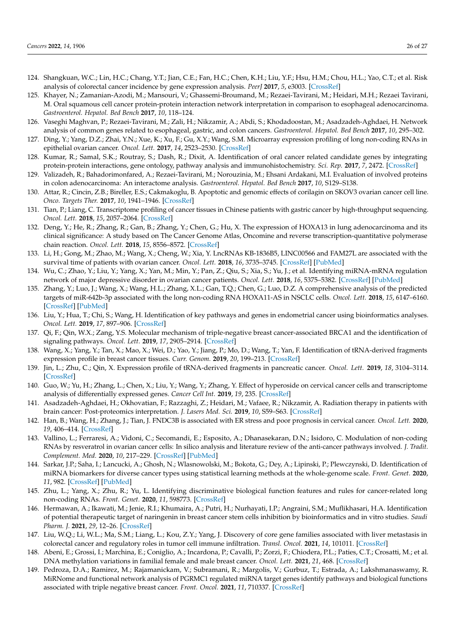- 124. Shangkuan, W.C.; Lin, H.C.; Chang, Y.T.; Jian, C.E.; Fan, H.C.; Chen, K.H.; Liu, Y.F.; Hsu, H.M.; Chou, H.L.; Yao, C.T.; et al. Risk analysis of colorectal cancer incidence by gene expression analysis. *PeerJ* **2017**, *5*, e3003. [\[CrossRef\]](http://dx.doi.org/10.7717/peerj.3003)
- 125. Khayer, N.; Zamanian-Azodi, M.; Mansouri, V.; Ghassemi-Broumand, M.; Rezaei-Tavirani, M.; Heidari, M.H.; Rezaei Tavirani, M. Oral squamous cell cancer protein-protein interaction network interpretation in comparison to esophageal adenocarcinoma. *Gastroenterol. Hepatol. Bed Bench* **2017**, *10*, 118–124.
- 126. Vaseghi Maghvan, P.; Rezaei-Tavirani, M.; Zali, H.; Nikzamir, A.; Abdi, S.; Khodadoostan, M.; Asadzadeh-Aghdaei, H. Network analysis of common genes related to esophageal, gastric, and colon cancers. *Gastroenterol. Hepatol. Bed Bench* **2017**, *10*, 295–302.
- 127. Ding, Y.; Yang, D.Z.; Zhai, Y.N.; Xue, K.; Xu, F.; Gu, X.Y.; Wang, S.M. Microarray expression profiling of long non-coding RNAs in epithelial ovarian cancer. *Oncol. Lett.* **2017**, *14*, 2523–2530. [\[CrossRef\]](http://dx.doi.org/10.3892/ol.2017.6448)
- 128. Kumar, R.; Samal, S.K.; Routray, S.; Dash, R.; Dixit, A. Identification of oral cancer related candidate genes by integrating protein-protein interactions, gene ontology, pathway analysis and immunohistochemistry. *Sci. Rep.* **2017**, *7*, 2472. [\[CrossRef\]](http://dx.doi.org/10.1038/s41598-017-02522-5)
- 129. Valizadeh, R.; Bahadorimonfared, A.; Rezaei-Tavirani, M.; Norouzinia, M.; Ehsani Ardakani, M.I. Evaluation of involved proteins in colon adenocarcinoma: An interactome analysis. *Gastroenterol. Hepatol. Bed Bench* **2017**, *10*, S129–S138.
- 130. Attar, R.; Cincin, Z.B.; Bireller, E.S.; Cakmakoglu, B. Apoptotic and genomic effects of corilagin on SKOV3 ovarian cancer cell line. *Onco. Targets Ther.* **2017**, *10*, 1941–1946. [\[CrossRef\]](http://dx.doi.org/10.2147/OTT.S135315)
- <span id="page-25-0"></span>131. Tian, P.; Liang, C. Transcriptome profiling of cancer tissues in Chinese patients with gastric cancer by high-throughput sequencing. *Oncol. Lett.* **2018**, *15*, 2057–2064. [\[CrossRef\]](http://dx.doi.org/10.3892/ol.2017.7548)
- 132. Deng, Y.; He, R.; Zhang, R.; Gan, B.; Zhang, Y.; Chen, G.; Hu, X. The expression of HOXA13 in lung adenocarcinoma and its clinical significance: A study based on The Cancer Genome Atlas, Oncomine and reverse transcription-quantitative polymerase chain reaction. *Oncol. Lett.* **2018**, *15*, 8556–8572. [\[CrossRef\]](http://dx.doi.org/10.3892/ol.2018.8381)
- 133. Li, H.; Gong, M.; Zhao, M.; Wang, X.; Cheng, W.; Xia, Y. LncRNAs KB-1836B5, LINC00566 and FAM27L are associated with the survival time of patients with ovarian cancer. *Oncol. Lett.* **2018**, *16*, 3735–3745. [\[CrossRef\]](http://dx.doi.org/10.3892/ol.2018.9143) [\[PubMed\]](http://www.ncbi.nlm.nih.gov/pubmed/30127984)
- 134. Wu, C.; Zhao, Y.; Liu, Y.; Yang, X.; Yan, M.; Min, Y.; Pan, Z.; Qiu, S.; Xia, S.; Yu, J.; et al. Identifying miRNA-mRNA regulation network of major depressive disorder in ovarian cancer patients. *Oncol. Lett.* **2018**, *16*, 5375–5382. [\[CrossRef\]](http://dx.doi.org/10.3892/ol.2018.9243) [\[PubMed\]](http://www.ncbi.nlm.nih.gov/pubmed/30214617)
- 135. Zhang, Y.; Luo, J.; Wang, X.; Wang, H.L.; Zhang, X.L.; Gan, T.Q.; Chen, G.; Luo, D.Z. A comprehensive analysis of the predicted targets of miR-642b-3p associated with the long non-coding RNA HOXA11-AS in NSCLC cells. *Oncol. Lett.* **2018**, *15*, 6147–6160. [\[CrossRef\]](http://dx.doi.org/10.3892/ol.2018.8105) [\[PubMed\]](http://www.ncbi.nlm.nih.gov/pubmed/29616096)
- 136. Liu, Y.; Hua, T.; Chi, S.; Wang, H. Identification of key pathways and genes in endometrial cancer using bioinformatics analyses. *Oncol. Lett.* **2019**, *17*, 897–906. [\[CrossRef\]](http://dx.doi.org/10.3892/ol.2018.9667)
- 137. Qi, F.; Qin, W.X.; Zang, Y.S. Molecular mechanism of triple-negative breast cancer-associated BRCA1 and the identification of signaling pathways. *Oncol. Lett.* **2019**, *17*, 2905–2914. [\[CrossRef\]](http://dx.doi.org/10.3892/ol.2019.9884)
- 138. Wang, X.; Yang, Y.; Tan, X.; Mao, X.; Wei, D.; Yao, Y.; Jiang, P.; Mo, D.; Wang, T.; Yan, F. Identification of tRNA-derived fragments expression profile in breast cancer tissues. *Curr. Genom.* **2019**, *20*, 199–213. [\[CrossRef\]](http://dx.doi.org/10.2174/1389202920666190326145459)
- 139. Jin, L.; Zhu, C.; Qin, X. Expression profile of tRNA-derived fragments in pancreatic cancer. *Oncol. Lett.* **2019**, *18*, 3104–3114. [\[CrossRef\]](http://dx.doi.org/10.3892/ol.2019.10601)
- 140. Guo, W.; Yu, H.; Zhang, L.; Chen, X.; Liu, Y.; Wang, Y.; Zhang, Y. Effect of hyperoside on cervical cancer cells and transcriptome analysis of differentially expressed genes. *Cancer Cell Int.* **2019**, *19*, 235. [\[CrossRef\]](http://dx.doi.org/10.1186/s12935-019-0953-4)
- 141. Asadzadeh-Aghdaei, H.; Okhovatian, F.; Razzaghi, Z.; Heidari, M.; Vafaee, R.; Nikzamir, A. Radiation therapy in patients with brain cancer: Post-proteomics interpretation. *J. Lasers Med. Sci.* **2019**, *10*, S59–S63. [\[CrossRef\]](http://dx.doi.org/10.15171/jlms.2019.S11)
- 142. Han, B.; Wang, H.; Zhang, J.; Tian, J. FNDC3B is associated with ER stress and poor prognosis in cervical cancer. *Oncol. Lett.* **2020**, *19*, 406–414. [\[CrossRef\]](http://dx.doi.org/10.3892/ol.2019.11098)
- 143. Vallino, L.; Ferraresi, A.; Vidoni, C.; Secomandi, E.; Esposito, A.; Dhanasekaran, D.N.; Isidoro, C. Modulation of non-coding RNAs by resveratrol in ovarian cancer cells: In silico analysis and literature review of the anti-cancer pathways involved. *J. Tradit. Complement. Med.* **2020**, *10*, 217–229. [\[CrossRef\]](http://dx.doi.org/10.1016/j.jtcme.2020.02.006) [\[PubMed\]](http://www.ncbi.nlm.nih.gov/pubmed/32670816)
- 144. Sarkar, J.P.; Saha, I.; Lancucki, A.; Ghosh, N.; Wlasnowolski, M.; Bokota, G.; Dey, A.; Lipinski, P.; Plewczynski, D. Identification of miRNA biomarkers for diverse cancer types using statistical learning methods at the whole-genome scale. *Front. Genet.* **2020**, *11*, 982. [\[CrossRef\]](http://dx.doi.org/10.3389/fgene.2020.00982) [\[PubMed\]](http://www.ncbi.nlm.nih.gov/pubmed/33281862)
- 145. Zhu, L.; Yang, X.; Zhu, R.; Yu, L. Identifying discriminative biological function features and rules for cancer-related long non-coding RNAs. *Front. Genet.* **2020**, *11*, 598773. [\[CrossRef\]](http://dx.doi.org/10.3389/fgene.2020.598773)
- 146. Hermawan, A.; Ikawati, M.; Jenie, R.I.; Khumaira, A.; Putri, H.; Nurhayati, I.P.; Angraini, S.M.; Muflikhasari, H.A. Identification of potential therapeutic target of naringenin in breast cancer stem cells inhibition by bioinformatics and in vitro studies. *Saudi Pharm. J.* **2021**, *29*, 12–26. [\[CrossRef\]](http://dx.doi.org/10.1016/j.jsps.2020.12.002)
- 147. Liu, W.Q.; Li, W.L.; Ma, S.M.; Liang, L.; Kou, Z.Y.; Yang, J. Discovery of core gene families associated with liver metastasis in colorectal cancer and regulatory roles in tumor cell immune infiltration. *Transl. Oncol.* **2021**, *14*, 101011. [\[CrossRef\]](http://dx.doi.org/10.1016/j.tranon.2021.101011)
- 148. Abeni, E.; Grossi, I.; Marchina, E.; Coniglio, A.; Incardona, P.; Cavalli, P.; Zorzi, F.; Chiodera, P.L.; Paties, C.T.; Crosatti, M.; et al. DNA methylation variations in familial female and male breast cancer. *Oncol. Lett.* **2021**, *21*, 468. [\[CrossRef\]](http://dx.doi.org/10.3892/ol.2021.12729)
- 149. Pedroza, D.A.; Ramirez, M.; Rajamanickam, V.; Subramani, R.; Margolis, V.; Gurbuz, T.; Estrada, A.; Lakshmanaswamy, R. MiRNome and functional network analysis of PGRMC1 regulated miRNA target genes identify pathways and biological functions associated with triple negative breast cancer. *Front. Oncol.* **2021**, *11*, 710337. [\[CrossRef\]](http://dx.doi.org/10.3389/fonc.2021.710337)